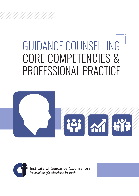# GUIDANCE COUNSELLING CORE COMPETENCIES & PROFESSIONAL PRACTICE



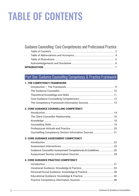## TABLE OF CONTENTS

#### Guidance Counselling: Core Competencies and Professional Practice

#### Part One: Guidance Counselling Competency & Practice Framework

#### 1. THE COMPETENCY FRAMEWORK

#### 2. CORE GUIDANCE COUNSELLING COMPETENCY

#### 3. CORE GUIDANCE ASSESSMENT COMPETENCY

| Guidance Counsellor Assessment Competencies & Guidelines26 |  |
|------------------------------------------------------------|--|
|                                                            |  |

#### 4. CORE GUIDANCE PRACTICE COMPETENCY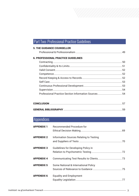#### Part Two: Professional Practice Guidelines

| <b>5. THE GUIDANCE COUNSELLOR</b>          |    |
|--------------------------------------------|----|
| <b>6. PROFESSIONAL PRACTICE GUIDELINES</b> |    |
|                                            |    |
|                                            |    |
|                                            |    |
|                                            |    |
|                                            |    |
|                                            |    |
|                                            |    |
|                                            | 54 |
|                                            | 54 |
|                                            |    |

#### **Appendices**

| <b>APPENDIX 1</b> | Recommended Procedure for               |  |
|-------------------|-----------------------------------------|--|
| <b>APPENDIX 2</b> | Information Sources Relating to Testing |  |
| <b>APPENDIX 3</b> | Guidelines for Developing Policy in     |  |
| <b>APPENDIX 4</b> |                                         |  |
| <b>APPENDIX 5</b> | Some National & International Policy    |  |
| <b>APPENDIX 6</b> | <b>Equality and Employment</b>          |  |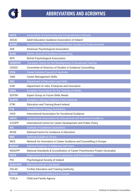

| <b>ACCS</b>     | Association of Community and Comprehensive Schools                             |  |
|-----------------|--------------------------------------------------------------------------------|--|
| <b>AEGAI</b>    | Adult Education Guidance Association of Ireland                                |  |
| <b>AIOSP</b>    | Association Internationale d'Orientation Scolaire et Professionnelle           |  |
| <b>APA</b>      | <b>American Psychological Association</b>                                      |  |
| <b>BJGC</b>     | <b>British Journal of Guidance Counselling</b>                                 |  |
| <b>BPS</b>      | <b>British Psychological Association</b>                                       |  |
| <b>CEDEFOP</b>  | European Centre for the Development of Vocational Training                     |  |
| <b>CDSGC</b>    | Committee of Directors of Studies in Guidance Counselling                      |  |
| <b>CICA</b>     | <b>Career Industry Council of Australia</b>                                    |  |
| <b>CMS</b>      | <b>Career Management Skills</b>                                                |  |
| <b>DES</b>      | Department of Education and Skills                                             |  |
| <b>DJEI</b>     | Department of Jobs, Enterprise and Innovation                                  |  |
| <b>EAEA</b>     | European Association for the Training of Adults                                |  |
| <b>EGFSN</b>    | <b>Expert Group on Future Skills Needs</b>                                     |  |
| <b>ELGPN</b>    | European Lifelong Guidance Policy Network                                      |  |
| <b>ETBI</b>     | <b>Education and Training Board Ireland</b>                                    |  |
| <b>FYA</b>      | <b>Foundation for Young Australians</b>                                        |  |
| <b>IAVG</b>     | <b>International Association for Vocational Guidance</b>                       |  |
| <b>IAEVG</b>    | International Association for Educational and Vocational Guidance              |  |
| <b>ICCDPP</b>   | International Centre for Career Development and Public Policy                  |  |
| <b>IGC</b>      | <b>Institute of Guidance Counsellors</b>                                       |  |
| <b>NCGE</b>     | National Centre for Guidance in Education                                      |  |
| <b>NGF</b>      | <b>National Guidance Forum</b>                                                 |  |
| <b>NICE</b>     | Network for Innovation in Career Guidance and Counselling in Europe            |  |
| <b>NRDSH</b>    | National Registry of Deliberate Self Harm                                      |  |
| <b>NSACPP</b>   | National Standards & Accreditation of Career Practitioners Project (Australia) |  |
| <b>OECD</b>     | Organisation for Economic Co-operation and Development                         |  |
| <b>PSI</b>      | Psychological Society of Ireland                                               |  |
| <b>QUALIFAX</b> | <b>National Learner's Database</b>                                             |  |
| <b>SOLAS</b>    | <b>Further Education and Training Authority</b>                                |  |
| <b>TRACE</b>    | <b>Transparent Competencies in Europe</b>                                      |  |
| <b>TUSLA</b>    | <b>Child and Family Agency</b>                                                 |  |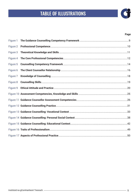### TABLE OF ILLUSTRATIONS



#### **Page**

| Figure 1 |  |
|----------|--|
| Figure 2 |  |
| Figure 3 |  |
| Figure 4 |  |
| Figure 5 |  |
| Figure 6 |  |
| Figure 7 |  |
| Figure 8 |  |
| Figure 9 |  |
|          |  |
|          |  |
|          |  |
|          |  |
|          |  |
|          |  |
|          |  |
|          |  |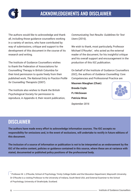

### ACKNOWLEDGEMENTS AND DISCLAIMER

The authors would like to acknowledge and thank all, including those guidance counsellors working in a variety of sectors, who have contributed by way of submissions, critique and support to the development of this document in the course of its research and writing.

The Institute of Guidance Counsellors wishes to thank the Federation of Associations for Counselling Therapy in British Columbia for their kind permission to quote freely from their published work, *The National Entry to Practice Profile for Counselling Therapists* (2007).

The Institute also wishes to thank the British Psychological Society for permission to reproduce, in Appendix 4, their recent publication,

*Communicating Test Results: Guidelines for Test Users* (2016).

We wish to thank, most particularly, Professor Michael O'Rourke<sup>1</sup>, who acted as the external reader of the document, for his insightful critique and his overall support and encouragement in the production of this IGC publication.

On behalf of the Institute of Guidance Counsellors (IGC), the authors of *Guidance Counselling:* Core Competencies and Professional Practice are

**Maureen Maughan (Chair) Breeda Coyle PJ McGowan Patricia Wroe** *September 2016*



DISCLAIMER

**The authors have made every effort to acknowledge information sources. The IGC accepts no responsibility for omissions and, in the event of exclusions, will undertake to rectify in future editions of this document.** 

**The inclusion of a source of information or publication is not to be interpreted as an endorsement by the IGC of the entire content, policies or guidance contained in this source, where these are at variance with stated, documented or published policy positions of the professional body.**

1 Professor M. L.O'Rourke, School of Psychology, Trinity College Dublin and the Education Department, Maynooth University. Dr O'Rourke is a visiting Professor to the University of Indiana, South Bend USA, and External Examiner to the School of Psychology, University of Strathclyde, Scotland.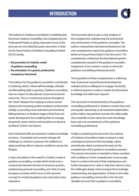#### **INTRODUCTION**



The Institute of Guidance Counsellors, in publishing this document, *Guidance Counselling: Core Competencies and Professional Practice*, is giving expression to two of the aims set out in its initial discussion document, *A Vision for the Future Practice of Guidance Counselling in Irelan*d (2013) namely,

- ✓ **the promotion of a holistic model of guidance counselling,**
- ✓ **the articulation of a generic professional competency framework**

The evidence for the guidance counsellor's contribution to fostering clients' critical self-knowledge, attitudes and life-building skills is growing. Guidance counsellors have an impact on educational, social and economic outcomes. This is a continuous process throughout the "client" lifespan from helping to reduce school dropout and increasing student academic achievement initially; to providing more motivated and intentional lifelong learners, at whatever stage of their lives and career development, thus enabling them to manage proactively career choices and transitions to become architects of their own futures.

Such individual skills are essential in today's knowledge economy. Uncertainty and constant change will challenge our citizens to possess the resilience to adapt positively, often in adverse conditions, across the lifespan.

A clear articulation of the need for a holistic model of guidance counselling, a model which tends to be a compromise between the best of American practice, emphasizing personal counselling, and that of some European countries which focus on the narrower concept of vocational guidance, has never been more imperative.

This document aims to give a clear analysis of the competencies underpinning the professional role and functions of the guidance counsellor. The authors reviewed the international literature on the core competencies required by guidance counsellors before arriving at those listed in this document. The competencies outlined are the foundational generic competencies required of the guidance counsellor, irrespective of the context or sector in which the guidance counselling professional works.

The acquisition of these competencies is a life-long task of personal and professional development underpinned by a willingness to engage constantly in reflexive practice in order to master the theoretical knowledge and skills base required.

This document is aimed primarily at the guidance counselling professional in whatever context they work, and equally importantly, at all interested stakeholders: policy makers, key partners, and also the wider public who would like to learn about the work, knowledge base, and core competencies of the guidance counselling professional.

Finally, in presenting this document, the Institute of Guidance Counsellors hopes to present a clear unambiguous picture of the knowledge, values and attitudes which constitute the basis for the competencies which guidance counsellors possess. This practice document is intended to imbue members with confidence in their competencies; to encourage them to continue the task of their maintenance and further development in order to help their clients to face the challenges ahead; and to increase the knowledge, understanding, and appreciation, of those in the wider guidance counselling community to the rich and valuable resource that is guidance counselling.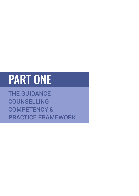# PART ONE

THE GUIDANCE COUNSELLING COMPETENCY & PRACTICE FRAMEWORK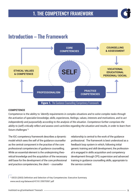

### Introduction – The Framework



#### **COMPETENCE**

Competence is the ability to *'identify requirements in complex situations and to solve complex tasks through the activation of specialist knowledge, skills, experiences, feelings, values, interests and motivations, and to act independently and purposefully according to the analysis of the situation. Competence further comprises the ability to (self) critically reflect and assess one's activities regarding the situation and results, in order to learn from future challenges' 2* 

The IGC competency framework describes a dynamic model which sees the self of the guidance counsellor as the central component in the practise of the core professional competencies of guidance counselling. While an essential element is the underpinning theoretical knowledge and the acquisition of the necessary skill base for the development of the core professional and practice competencies, the client – counsellor

relationship is central to the work of the guidance professional. The framework is best understood as a feedback loop system in which, following initial generic training and skill development, the professional is engaged in skills acquisition and competency development through CPD, supervision and advanced training in guidance counselling skills, appropriate to the service context.

2 OECD (2003) Definition and Selection of Key Competencies: Executive Summary. www.oecd.org/dataoecd/47/61/35070367.pdf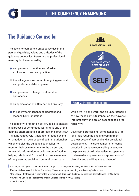

### The Guidance Counsellor

The basis for competent practice resides in the personal qualities, values and attitudes of the guidance counsellor. Personal and professional maturity is characterized by

- an openness to continuous reflexive exploration of self and practice
- $\bigcirc$  the willingness to commit to ongoing personal and professional development
- an openness to change, to alternative approaches
- $\bullet$  an appreciation of difference and diversity
- $\bullet$  the ability for independent judgment and responsibility for actions

The capacity to reflect on action, so as to engage in a process of continuous learning, is one of the defining characteristics of professional practice.3 'Thinking reflectively …includes reflection *in* and *on* practice' 'an awareness of self in relationship' which enables the guidance counsellor 'to monitor their own reactions to the person and to use this information to build a more effective helping relationship'.4 In addition, an awareness of the personal, social and cultural contexts in



#### **Figure 2. Professional Competence**

which we live and work, and an understanding of how these contexts impact on the ways we interpret our world are an essential basis for reflexivity.

Developing professional competence is a lifelong task, requiring ongoing commitment to the process of personal and professional development. The development of effective practice in guidance counselling depends on the presence of attitudes reflecting openness to alternative approaches, an appreciation of diversity, and a willingness to change.<sup>5</sup>

<sup>3</sup> Schon, Donald. (1983) cited in Atherton J.S. (2013) *Learning and Teaching; Reflection and Reflective Practice* [On-line: UK] retrieved 2 July 2015 from http://www.learningandteaching.info/learning/reflecti.htm <sup>4</sup>Mc Leod, J. (2007) cited in Committee of Directors of Studies in Guidance Counselling Competencies For Guidance Counselling Education Programme Interim Guidelines Dublin NCGE (2011) 5 See, Ibid, (2007)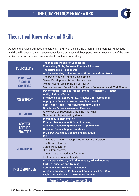

### Theoretical Knowledge and Skills

Added to the values, attitudes and personal maturity of the self, the underpinning theoretical knowledge and the skills base of the guidance counsellor are both essential components to the acquisition of the core professional and practice competencies in guidance counselling.

| <b>COUNSELLING</b>                                   | . Theories and Models of Counselling<br><b>• Counselling Skills, Reflexive Practice &amp; Process</b><br>. The Counselling Relationship                                                                                                                                                                                          |
|------------------------------------------------------|----------------------------------------------------------------------------------------------------------------------------------------------------------------------------------------------------------------------------------------------------------------------------------------------------------------------------------|
|                                                      | . An Understanding of the Nature of Groups and Group Work                                                                                                                                                                                                                                                                        |
| <b>PERSONAL</b><br>& SOCIAL<br><b>CONTEXTS</b>       | . The Psychology of Human Development<br>• Career Development Across the Lifespan<br>. Mental Health, Well Being & Spirituality<br>. Multiculturalism, Social Contexts, Diverse Populations and Work Contexts                                                                                                                    |
| <b>ASSESSMENT</b>                                    | · Psychometric Tests and Measurement - Principles & Practice<br>. Ability, Aptitude Tests<br>· Intelligence Variability: MI, EQ, Practical, Entrepreneurial<br><b>• Appropriate Behaviour Assessment Instruments</b><br>. Self - Report Tools - Interest, Personality, Values<br><b>• Qualitative Career Assessment Measures</b> |
| <b>EDUCATION</b>                                     | <b>· Knowledge of Education &amp; Training Pathways</b><br>· National & International Systems                                                                                                                                                                                                                                    |
| <b>CONTEXT</b><br><b>SPECIFIC</b><br><b>PRACTICE</b> | • Planning & Implementation<br>· Practice Management & Record Keeping<br><b>• Guidance Counselling Processes &amp; Approaches</b><br><b>. Guidance Counselling Interventions</b><br>• Pre & Post Guidance Counselling Evaluation<br>$\cdot$ ICT                                                                                  |
| <b>VOCATIONAL</b>                                    | . Theories of Career Development Across the Lifespan<br>. The Nature of Work<br>· Career Regeneration<br>· Global Perspectives<br>· Career & Labour Market Information<br><b>· Evaluation and Accountability</b>                                                                                                                 |
| <b>PROFESSIONALISM</b>                               | . An Understanding of, and Adherence to, Ethical Practice<br><b>• Further Education and Training</b><br><b>• Continuous Professional Development</b><br>. An Understanding of Professional Boundaries & Self Care<br><b>• Legislation Relevant to the Practice Context</b>                                                       |

**Figure 3.** Theoretical Knowledge and Skills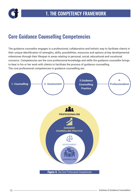

### Core Guidance Counselling Competencies

The guidance counsellor engages in a professional, collaborative and holistic way to facilitate clients in their unique identification of strengths, skills, possibilities, resources and options at key developmental milestones through their lifespan in areas relating to personal, social, educational and vocational concerns. Competencies are the core professional knowledge and skills the guidance counsellor brings to bear in his or her work with clients to facilitate the process of guidance counselling. The core professional competencies in guidance counselling are:

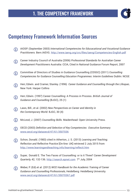

### Competency Framework Information Sources

- AIOSP. (September 2003) *International Competencies for Educacational and Vocational Guidance*  G) *Practitioners.* Bern.IAEVG. http://www.iaevg.org/crc/files/iaevg/Competencies-English.pdf
- Career Industry Council of Australia (2006) *Professional Standards for Australian Career Development Practitioners* Australia: CCIA, Cited in National Guidance Forum Report, 2007
- Committee of Directors of Studies in Guidance Counselling (CDSGC) (2011) *Counselling*  (i) *Competencies for Guidance Counselling Education Programmes: Interim Guidelines* Dublin: NCGE
- Herr, Edwin. and Cramer, Stanley. (1996) *Career Guidance and Counselling through the Lifespan,* (i) New York: Harper Collins
- Herr, Edwin. (1997) Career Counselling: A Process in Process. *British Journal of*  $(i)$ *Guidance and Counselling* (BJGC), 25 (1)
- Laws, Bill., et al. (2002) *New Perspectives on Career and Identity in*   $(i)$ *the Contemporary World.* BJGC, 30 (4)
- (i) McLeod, J. (2007) *Counselling Skills.* Maidenhead: Open University Press.
- OECD (2003) *Definition and Selection of Key Competencies: Executive Summary.* www.oecd.org/dataoecd/47/61/3507036
- Schon, Donald. (1983) cited in Atherton, J. S. (2013) *Learning and Teaching;*  (i) *Reflection and Reflective Practice* [On-line: UK] retrieved 2 July 2015 from http://www.learningandteaching.info/learning/reflecti.htm
- Super, Donald E. The Two Faces of Counselling: or is it Three? *Career Development*  (i) *Quarterly,* 42, 132-136. http://search.epnet.com 7th July, 2004
- Weber, P. (Ed).et al. (2012) *NICE Handbook for the Academic Training of Career Guidance and Counselling Professionals,* Heidelberg: Heidelberg University. www.oecd.org/dataoecd/47/61/35070367.pdf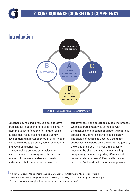

Guidance counselling involves a collaborative professional relationship to facilitate clients in their unique identification of strengths, skills, possibilities, resources and options at key developmental milestones through their lifespan in areas relating to personal, social, educational and vocational concerns.

The counselling process emphasises the establishment of a strong, empathic, trusting relationship between guidance counsellor and client. This is core to the counsellor's

effectiveness in the guidance counselling process. When accurate empathy is combined with genuineness and unconditional positive regard, it provides the ultimate in psychological safety. The choice of strategies used by a guidance counsellor will depend on professional judgement, the client, the presenting issue, the specific need and the client context. The counselling competency includes cognitive, affective and behavioural components<sup>6</sup>. Personal issues and vocational7/educational concerns can present

6 Ridley, Charles, R., Mollen, Debra., and Kelly, Shannon M. (2011) Beyond Microskills: Toward a Model of Counselling Competence. *The Counselling Psychologist, X*X(X) 1-40. Sage Publications, p.1.

 $^7$  In this document we employ the more encompassing term 'vocational'  $\,$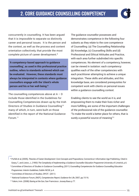

concurrently in counselling. It has been argued that it is impossible to separate so distinctly career and personal issues. It is the person and the context, as well as the process and content orientation collectively, that provide the most complete picture of career development.8

**'A competency-based approach to guidance counselling', as used in this professional practice outline, refers to standards achieved which can be evaluated. However, these standards must always be interpreted in contexts where guidance counsellors engage with the 'client's whole person and his or her well-being.'9** 

The counselling competences above at  $A - D$ include those identified in the Guidelines for Counselling Competencies drawn up by the Irish Directors of Studies in Guidance Counselling<sup>10</sup> many of which, in turn, were built on those identified in the report of the National Guidance Forum.11

The guidance counsellor possesses and demonstrates competence in the following four subsets as they relate to the core competence of Counselling: (a) The Counselling Relationship (b) Knowledge, (c) Counselling Skills and (d) Professional and Ethical Attitudes and Practice, with each area further subdivided into specific competences. No element of a competency, however, can be viewed in isolation: each competency qualifies each of the other competencies with each practitioner attempting to achieve a unique integration. These skills and attitudes, and this knowledge base, are considered prerequisites for competent work with clients on personal issues within a guidance counselling context.

Enabling clients to see the world as it is, and empowering them to make their lives richer and more fulfilling, are some of the important challenges of the professional role of the guidance counsellor. 'To make the world a better place for others, that is surely a powerful source of meaning<sup>'12</sup>

<sup>8</sup> Porfeli et al, (2005), *Theories of Career Development: Core Concepts and Propositions,* Connecticut: Information Age Publishing. Cited in Geary, T., and Liston, J., (1993) The Complexity of Implementing a Guidance Counsellor Education Programme University of Limerick, p.6.

<sup>9</sup> Committee of Directors of Studies in Guidance Counselling, (2011) *Counselling Competencies for Guidance Counselling Education Programmes: Interim Guidelines,* Dublin NCGE, p.4.

10 Committee of Directors of Studies, OP.CIT. (2011)

11 National Guidance Forum, (NGF), *Competencies Report, Guidance for Life,* 2007, pp.15-16.

12 Yalom, Irvin. (2008) *Staring at the Sun,* San Frarncisco: Jossey-Bass p.77.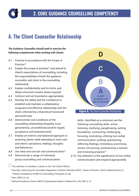## A. The Client Counsellor Relationship

#### *The Guidance Counsellor should seek to exercise the following competencies when working with clients:*

- *A.1* Practice in accordance with the Scope of Practice<sup>13</sup>
- A.2 Explain the scope of practice<sup>14</sup> and attend to client's expectations of counselling, including the responsibilities of both the guidance counsellor and client in the counselling relationship
- *A.3* Explain confidentiality and its limits, and obtain informed consent where required
- *A.4* Contract and set boundaries appropriately
- *A.5* Develop the ability and the confidence to establish and maintain a collaborative, congruent and effective relationship with the client, informed by a theoretical framework and world view
- *A.6* Demonstrate core conditions of the counselling relationship (empathy, trust, genuineness, unconditional positive regard, acceptance and empowerment)
- *A.7* Employ an eclectic and balanced approach to assisting clients while attending to one's own and client's sensations, feelings, thoughts and behaviours
- A.8 Use clear and concise oral communication<sup>15</sup>
- *A.9* Demonstrate a range of individual, group counselling and communication



skills. Identified as a minimum are the following counselling skills: active listening, clarifying, paraphrasing, setting boundaries, contracting, challenging, focusing, motivating, utilizing non-verbal communication, probing, questioning, reflecting feelings, immediacy, prioritising issues, structuring, summarising a session and reviewing progress $16$ 

*A.10* Pay attention to the significance of non-verbal communication and respond appropriately

15 Ibid. (2007) (2.1a)

<sup>16</sup> National Guidance Forum, (NGF) Competencies Report, Guidance for Life, 2007 p.15

<sup>&</sup>lt;sup>13</sup> The attention of members is drawn to the IGC Code of Ethics.

<sup>14</sup> See also, Task Group for Counsellor Regulation in British Columbia (2007). *'Scope of Practice'*, cited in National Entry To Practice Competency Profile For Counselling Therapists (3.2a)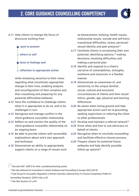*A.11* Help clients to change the focus of discourse working from

 **past to present** 

 **others to self**



#### **reflection to appropriate action**

 while remaining sensitive to their views regarding what constitutes appropriate change in their lives, enabling analysis and reconfiguration of their situation and then visualising and preparing for any potential difficulties/setbacks

- *A.12* Have the confidence to challenge clients when it is appropriate to do so, and to be challenged in turn
- *A.13* Recognise and manage conflict in the client-guidance counsellor relationship
- *A.14* Reflect on and monitor the quality of the client-guidance counsellor relationship on an ongoing basis
- *A.15* Be able to provide clients with accessible explanations about one's own approach and technique
- *A.16* Demonstrate an ability to appropriately support clients on a range of issues such

as bereavement, bullying, health issues, relationship issues, suicide and self-harm, transitional difficulties, stress, personal/ sexual identity and peer pressure<sup>17</sup>

- *A.17* Facilitate clients in envisioning their own potential, identifying options,18 making decisions, resolving difficulties and making a personal plan
- *A.18* Identify and respond to a client's narrative of vulnerabilities, strengths, resilience and resources in a flexible manner
- *A.19* Demonstrate an awareness of, and sensitivity, to the unique familial, social, cultural and economic circumstances of clients and their racial/ ethnic, gender, age, physical and learning differences
- *A.20* Be aware when losing ground and take appropriate action such as re-grounding, seeking supervision or referring the client to other professionals
- A.21 Develop and maintain a referral network<sup>19</sup>
- *A.22* Know when and how to use advocacy on behalf of clients
- *A.23* Recognise when to conclude counselling and facilitate effective closure process
- *A.24* Prepare clients for potential future setbacks and help identify possible follow-up options $20$



<sup>&</sup>lt;sup>17</sup> See also NGF (2007) for other possible presenting issues

<sup>18</sup> See also Network for Innovation in Career Guidance and Counselling in Europe, NICE (2015)

<sup>19</sup> Task Group for Counsellor Regulation in British Columbia. *National Entry To Practice Competency Profile For* 

*Counselling Therapists.* (2007) 4.8a. p.20

<sup>20</sup> See Ibid, Section 4.9. p.20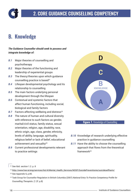

### B. Knowledge

#### *The Guidance Counsellor should seek to possess and integrate knowledge of:*

- *B.1* Major theories of counselling and psychotherapy
- *B.2* Major theories of the functioning and leadership of experiential groups
- *B.3* The theory/theories upon which guidance counselling practice is based<sup>21</sup>
- *B.4* Lifespan developmental psychology and its relationship to counselling
- *B.5* The main factors underlying personal development through the lifespan
- *B.6* Contextual and systemic factors that affect human functioning, including social, biological and family factors
- **B.7** Factors affecting wellbeing and distress<sup>22</sup>
- *B.8* The nature of human and cultural diversity with reference to such factors as gender, marital/civil status, family status, sexual orientation, religion, age, disability, race, ethnic origin, age, class, gender, ethnicity, levels of ability, language, spirituality, religious belief or lack of belief, educational achievement and sexuality<sup>23</sup>
- *B.9* Current professional developments relevant to practice settings



#### **Figure 7.** Knowledge of Counselling

- *B.10* Knowledge of research underlying effective practice in guidance counselling
- *B.11* Have the ability to choose the counselling approach that flows from the theoretical framework24

- 23 See Appendix 6, p.85.
- <sup>24</sup> Task Group for Counsellor Regulation in British Columbia (2007) *National Entry To Practice Competency Profile for Counselling Therapists*. (1.2f. p.8)

<sup>21</sup> See Ibid. section 1.2. p. 8

<sup>&</sup>lt;sup>22</sup> http://www.hse.ie/eng/services/list/4/Mental\_Health\_Services/NOSP/SuicidePreventionie/suicideselfharm/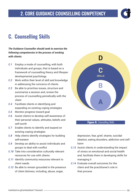### 2. CORE GUIDANCE COUNSELLING COMPETENCY

### C. Counselling Skills

*The Guidance Counsellor should seek to exercise the following competencies in the process of working with clients:* 

- *C.1* Employ a mode of counselling, with both individuals and groups, that is based on a framework of counselling theory and lifespan developmental psychology
- *C.2* Work within their level of skill and knowledge in addressing the concerns of clients
- *C.3* Be able to prioritise issues, structure and summarise a session and, review the process of counselling periodically with the client
- *C.4* Facilitate clients in identifying and expanding on existing coping strategies
- *C.5* Monitor progress toward goal
- *C.6* Assist clients to develop self-awareness of their personal values, attitudes, beliefs and self-worth
- *C.7* Enable clients to identify and expand on existing coping strategies
- *C.8* Help clients identify strategies for building self-esteem
- *C.9* Develop an ability to assist individuals and groups to deal with conflict
- *C.10* Take into consideration culturally relevant resources for use with clients
- *C.11* Identify community resources relevant to client needs
- *C.12* Be able to remain grounded in the presence of client distress, including, abuse, anger,



#### **Figure 8. Counselling Skills**

depression, fear, grief, shame, suicidal ideation, eating disorders, addiction and selfharm

- *C.13* Assist clients in understanding the impact of stress on emotional and social health and, facilitate them in developing skills for managing it
- *C.14* Evaluate overall outcomes for the client and the practitioner's role in that process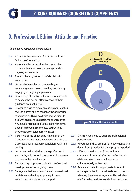## D. Professional, Ethical Attitude and Practice

#### *The guidance counsellor should seek to*

- *D.1* Adhere to the *Code of Ethics* of the Institute of Guidance Counsellors
- *D.2* Recognise the professional responsibility of the guidance counsellor to engage with ongoing supervision
- *D.3* Protect client rights and confidentiality in supervision
- *D.4* Demonstrate evidence of evaluating and enhancing one's own counselling practice by engaging in ongoing supervision
- *D.5* Develop a philosophy and implement methods to assess the overall effectiveness of their guidance counselling role
- *D.6* Be open to ongoing reflection and dialogue on their own life journey and its impact on the counselling relationship and have dealt with and, continue to deal with on an ongoing basis, major unresolved / vulnerable / distressing issues in their own lives through appropriate means e.g., counselling / psychotherapy / personal growth work
- *D.7* Take note of the philosophy / mission of the institution where they are working and develop a professional philosophy consistent with this setting
- *D.8* Demonstrate knowledge of the professional standards, policies and practices which govern practice in their work setting
- *D.9* Engage in appropriate continuing professional development on an ongoing basis
- *D.10* Recognise their own personal and professional limitations and act appropriately to seek supervision or professional support



#### **Figure 9. Ethical Attitude and Practice**

- *D.11* Maintain wellness to support professional performance
- *D.12* Recognise if they are not fit to see clients and desist from practice for an appropriate period
- *D.13* Differentiate the role of the guidance counsellor from that of other professionals while retaining the capacity to work collaboratively with others
- *D.14* Be aware when it is appropriate to refer to more specialised professionals and to do so when (a) the client is significantly disturbed and/or distressed, and/or (b) the counsellor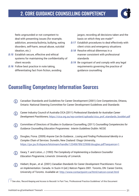

feels ungrounded or not competent to deal with presenting issues (for example, addiction, anorexia/bulimia, bullying, eating disorders, self-harm, sexual abuse, suicidal ideation, etc.)

- *D.15* Establish secure, effective and ethical systems for maintaining the confidentiality of client records
- *D.16* Follow best practice in note taking, differentiating fact from fiction, avoiding

jargon, recording all decisions taken and the basis on which they are made<sup>25</sup>

- *D.17* Establish procedures to deal effectively with client crisis and emergency situations
- *D.18* Resolve ethical dilemmas in a manner consistent with professional standards
- *D.19* Be cognisant of and comply with any legal requirements governing the practice of guidance counselling

### Counselling Competency Information Sources

- Canadian Standards and Guidelines for Career Development (2001) *Core Competencies,* Ottawa,  $(i)$ Ontario: National Steering Committee for Career Development Guidelines and Standards
- Career Industry Council of Australia CICA (2011) *Professional Standards for Australian Career Development Practitioners,* https://cica.org.au/wp-content/uploads/cica\_prof\_standards\_booklet.pdf
- Committee of Directors of Studies in Guidance Counselling, (2011) *Counselling Competencies for*  (i) *Guidance Counselling Education Programmes: Interim Guidelines* Dublin: NCGE
- Douglas, Fiona. (2009) *Anyone Can Do Guidance….Losing and Finding Professional Identity in a*  G *Complex Chain of Services.* Dunedin, New Zealand: Otago University,. https://jyx.jyu.fi/dspace/bitstream/handle/123456789/22908/douglas.pdf?sequence=1
- Geary, T. and Liston, J. (1993) *The Complexity of Implementing a Guidance Counsellor*  G) *Education Programme,* Limerick: University of Limerick.
- Hiebert, Bryan., et al. (2001) *Canadian Standards for Career Development Practitioners: Focus*  G *on Implementation.* Canada. In Suzin H (ed.) *Natcon Papers 2001.* Toronto, ON: Career Centre, University of Toronto. Available at: http://www.contactpoint.ca/html/natcon-conat.html

<sup>25</sup> See also, *'Record Keeping and Access to Records'* in Part Two, 'Professional Practice Guidelines' of this Document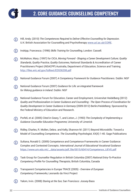

- Hill, Andy. (2010) *The Competences Required to Deliver Effective Counselling for Depression.*  U.K: British Association for Counselling and Psychotherapy www.ucl.ac.uk/CORE.
- Inskipp, Francesca. (1996) *Skills Training for Counselling,* London: Cassell.  $(i)$
- McMahon, Mary. (1997) for CICA, *Moving Forward Shaping a Career Development Culture; Quality Standards, Quality Practice, Quality Outcomes,* National Standards & Accreditation of Career Practitioners Project (NSACPP) Australia, Department of Education, Science and Training http://files.eric.ed.gov/fulltext/ED536208.pdf
- National Guidance Forum (2007) *A Competency Framework for Guidance Practitioners.* Dublin: NGF G)
- National Guidance Forum (2007) *Guidance for Life: an integrated framework for lifelong guidance in Ireland.* Dublin: NGF
- National Guidance Forum for Education, Career and Employment, Universitat Heidelberg (2012)  $(i)$ *Quality and Professionalism in Career Guidance and Counselling - The Open Process of Coordination for Quality Development in Career Guidance in Germany* (2009-2012) Berlin/Heidelberg: Sponsored by the Federal Ministry of Education and Research.
- Porfeli, et al. (2005) Cited in Geary, T., and Liston, J. (1993) *The Complexity of Implementing a Guidance Counsellor Education Programme,* University of Limerick
- (i) Ridley, Charles, R. Mollen, Debra. and Kelly, Shannon M. (2011) Beyond Microskills: Toward a Model of Counselling Competence. *The Counselling Psychologist,* XX(X) 1-40. Sage Publications
- Sultana, Ronald G. (2009) Competence and Competence Frameworks in Career Guidance: Complex and Contested Concepts. *International Journal of Educational Vocational Guidance* https://www.um.edu.mt/\_\_data/assets/pdf\_file/0015/60414/Competence\_IJEVG.pdf
- Task Group for Counsellor Regulation in British Columbia (2007) *National Entry-To-Practice*  G) *Competency Profile For Counselling Therapists,* British Columbia, Canada
- Transparent Competencies in Europe TRACE (2005) *Overview of European*   $(i)$ *Competency Frameworks,* Leonardo da Vinci Project
- Yalom, Irvin. (2008) *Staring at the Sun,* San Francisco: Jossey-Bass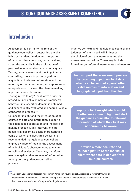

### Introduction

Assessment is central to the role of the guidance counsellor in supporting the client in his or her identification and integration of personal characteristics, current values, strengths and skills in the exploration of personal, educational or occupational goals. Testing, as an assessment tool in guidance counselling, has as its primary goal the acquisition of relevant information and the reporting of that information, with appropriate interpretations, to assist the client in making important career decisions.

Testing refers to any '…evaluative device or procedure in which a sample of examinee's behaviour in a specified domain is obtained and subsequently evaluated and scored using a standardised process'.26

Counsellor insight and the integration of all sources of data and information, supports the client in self exploration and the decision making process. Many interventions are possible in discerning client characteristics, some of which are illustrated below. It is recommended that guidance counsellors employ a variety of tools in the assessment of an individual's characteristics to ensure reliability of evidence. Tests are, therefore, used alongside other sources of information to support the guidance counselling process.

Practice contexts and the guidance counsellor's judgment of client need, will influence the choice of both the instrument and the assessment procedure. These may include formal and/or informal instruments and tests to

**help support the assessment process by providing objective client data which can be verified against other valid sources of information and biographical input from the client**

**support client insight which might not otherwise come to light and alert the guidance counsellor to relevant information of which the client may not currently be aware**

**provide a more accurate and rounded picture of the individual client where data is derived from multiple sources**

<sup>26</sup> American Educational Research Association, American Psychological Association & National Council on Measurement in Education, *Standards*, (1999) p.3. For the most recent updates in *Standards* (2014) see http://www.apa.org/science/programs/testing/index.aspx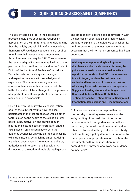

The use of tests as a tool in the assessment process in guidance counselling requires an appreciation of their limitations, an understanding that 'the validity and reliability of any test is less than perfect'27. Guidance counsellors are required to maintain their assessment competencies through training and regular CPD. They adhere to the registered qualified test user guidelines of the psychometric accrediting body and to the Code of Ethics of the Institute of Guidance Counsellors. Test interpretation is always a challenge and expertise develops with knowledge and experience. The more familiar a guidance counsellor becomes with a particular test, the better he or she will be with regard to the provision of important data. It is important to accentuate as many positives as possible.

Careful interpretation involves a consideration of all of the sub-test results, how the client participated in the test process, as well as other factors such as the health of the client, cultural background, motivation and enthusiasm. In institutional settings, test interpretation should take place on an individual basis, with the guidance counsellor drawing on their counselling skills training, e.g., establishing empathy, doing a 'positive assets search' in relation to abilities, aptitudes and interests, if at all possible. A discussion of the notion of multiple intelligences

and emotional intelligence can be revelatory. With the adolescent client it is a good idea to ask a student to explain to the guidance counsellor his/ her interpretation of the test results in order to ascertain that the information presented has been understood.

**With regard to report writing it is important that these are short and succinct. At times, the guidance counsellor may be asked to write a report for the courts or the HSE. It is imperative to avoid jargon, to place the test results in context and take care not to draw conclusions which may be outside one's area of competence. Suggested headings for report writing include: Name and Address; Date of Birth; Date of Testing; Reason for Testing; Results; Background Information; Conclusions and Recommendations.**

Guidance counsellors are responsible for the security of testing instruments and the safeguarding of derived client information. It is recommended that guidance counsellors, particularly those who work in educational and other institutional settings, take responsibility for formulating a policy document in relation to the proper and appropriate use of psychometric instruments within the institution in the context of their professional work as guidance counsellors<sup>28</sup>.

<sup>&</sup>lt;sup>27</sup> Tyler, Leona E. and Walsh, W. Bruce. (1979) *Tests and Measurements* 3<sup>rd</sup> Ed. New Jersey, Prentice Hall, p.120

<sup>28</sup> See Appendix 2, p.77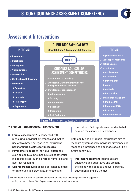

#### Assessment Interventions



#### **Figure 10.** Assessment competencies, knowledge and skills

#### **2. I FORMAL AND INFORMAL ASSESSMENT**

- **Formal assessment<sup>29</sup>** is concerned with measuring individual differences and makes use of two broad categories of instrument: **psychometric & self report measures**
- **Psychometric tests** of individual difference, such as ability, aim to measure client potential in specific areas, such as verbal, numerical and abstract reasoning
- **Self report measures** assess personal qualities or traits such as personality, interests and

motivation. Self reports are intended to help develop the client's self awareness

Both ability and self-report instruments aim to measure systematically individual differences so reasonable inferences can be made about likely future behaviour.

**• Informal Assessment** techniques are subjective and qualitative and present the client with space to uncover personal, educational and life themes.

<sup>29</sup> See Appendix 2, p.68, for sources of information in relation to testing and a list of suppliers of 'Psychometric' Tests, 'Self Report Measures' and other instruments.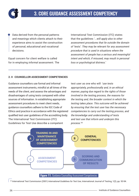

• Data derived from the personal patterns and meanings which clients attach to their experience aims to assist the construction of personal, educational and vocational decisions.

Equal concern for client welfare is called for in employing *informal* assessment. The International Test Commission (ITC) states that the guidelines *'...will apply also to other assessment procedures that lie outside the domain of 'tests'. They may be relevant for any assessment procedure that is used in situations where the assessment of people has a serious and meaningful intent and which, if misused, may result in personal loss or psychological distress.'*

#### **2. II COUNSELLOR ASSESSMENT COMPETENCIES**

Guidance counsellors use formal and informal assessment instruments, mindful at all times of the needs of the client, and assess the advantages and disadvantages of using tests compared with other sources of information. In establishing appropriate assessment procedures to meet client needs, guidance counsellors adhere to the IGC Code of Ethics and practice in accordance with the registered qualified test user guidelines of the accrediting body. The International Test Commission (ITC) Guidelines for Test Use describe a competent

test user as one who will *'use tests appropriately, professionally and, in an ethical manner, paying due regard to the rights of those involved in the testing process, the reasons for the testing and, the broader context in which the testing takes place. This outcome will be achieved by ensuring that the test user has the necessary competencies to carry out the testing process, and the knowledge and understanding of tests and test use that inform and underpin this process.'30*



**Figure 11.** Guidance Counselling Assessment Competencies

30 International Test Commission (2001) *International Guidelines for Test* Use, International Journal of Testing, 1(2), pp. 93-94.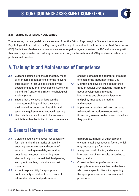

#### **2. III TESTING COMPETENCY GUIDELINES**

The following outline guidelines are sourced from the British Psychological Society, the American Psychological Association, the Psychological Society of Ireland and the International Test Commission (ITC) Guidelines. Guidance counsellors are encouraged to regularly review the ITC website, along with their own psychometric accrediting professional body's information and IGC guidelines in relation to professional practice.

#### A. Training In and Maintenance of Competence

- *A.1* Guidance counsellors ensure that they meet all standards of competence for the relevant qualification in test use as defined by the accrediting body, the Psychological Society of Ireland (PSI) and/or the British Psychological Society (BPS)
- *A.2* Ensure that they have undertaken the mandatory training and that they have the knowledge, understanding, skills and technical requirements to engage in testing
- *A.3* Use only those psychometric instruments which lie within the limits of their competence

### B. General Competencies

- *B.1* Guidance counsellors accept responsibility for maintaining the integrity of tests by ensuring secure storage and control of access to testing materials, respecting copyrights laws, not transmitting tests electronically or to unqualified third parties, and by not coaching individuals on test materials
- *B.2* Accept responsibility for appropriate confidentiality in relation to disclosure of information about test performance to

and have obtained the appropriate training for each of the instruments they use

- *A.4* Maintain and develop their competence through regular CPD, including information about developments in testing instruments and changes in legislation and policy impacting on testing and test use
- *A.5* Implement an explicit policy on test use, to include information relevant to Data Protection, relevant to the contexts in which they practice

third parties, mindful of other personal, environmental, psychosocial factors which may impact on performance

- *B.3* Accept responsibility for, and ensure the interpretation of, test results according to best practice
- *B.4* Consult with other professionals, as appropriate, who are involved with clients who have a specific disability, regarding the appropriateness of instruments and procedures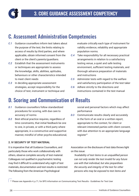

### C. Assessment Administration Competencies

- *C.1* Guidance counsellors inform test takers about the purpose of the test, the limits relating to access of results by third parties, and where applicable, obtain informed consent from the client or the client's parents/guardians.
- *C.2* Establish that the assessment instruments or techniques are appropriate to assess the knowledge, skills, abilities, aptitudes, behaviours or other characteristics intended to meet client needs
- *C.3* In deciding appropriate assessment strategies, accept responsibility for the choice of test, instrument or technique and

## D. Scoring and Communication of Results

- *D.1* Guidance counsellors follow standardized procedures for scoring, with due care to accuracy of norms
- *D.2* Best ethical practice requires, regardless of time constraints, that initial feedback be one to one, in private, or with a third party where appropriate, in a constructive and supportive manner, mindful of other psycho-educational,

#### **2. IV SECURITY OF TEST MATERIAL**

It is imperative that all Guidance Counsellors, and particularly those who work collaboratively with others, observe complete security of test material. Colleagues not qualified in psychometric testing may find it difficult to understand why sight of test materials, documentation and test results is restricted. The following from the American Psychological

evaluate critically each type of instrument for validity evidence, reliability and appropriate population norms.

- *C.4* Take responsibility for all necessary practical arrangements in relation to a satisfactory testing venue, a quiet and safe testing environment, sufficient testing materials, and thorough advance preparation of materials and instructions
- *C.5* Administer tests with regard to the welfare and satisfactory participation of the test taker
- *C.6* Adhere strictly to the directions and instructions contained in the test manual

social and personal factors which may affect performance

*D.3* Communicate results clearly and accurately in the form of an oral or a written report, appropriate to the context, for client or relevant interested parties with client consent, with due attention to an appropriate language register<sup>31</sup>

Association on the disclosure of test data throws light on this issue:

*'Availability of test items to an unqualified person can not only render the test invalid for any future use with that individual, but also jeopardises the security and integrity of the test for other persons who may be exposed to test items and* 

<sup>31</sup> Please see Appendix 4, p.71, for BPS information on Communicating Test Results - Guidelines for Test User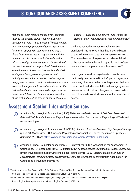

*responses. Such release imposes very concrete harm to the general public – loss of effective assessment tools. The existence of limited number of standardized psychological tests appropriate for a given purpose (in some instances only a single instrument), means they cannot easily be replaced or substituted if an individual obtains prior knowledge of item content or the security of the test is otherwise compromised. Development and refinement of items and norms for individual intelligence tests, personality assessment techniques, and achievement tests often require many years of research and considerable effort and expense. Improper disclosure of test items or other test materials also may result in damage to those parties which have developed or have ownership of the test and result in breach of contract claims* 

*against …' guidance counsellors 'who violate the terms of their test purchase or lease agreements.'32*

Guidance counsellors must also adhere to such standards in the rare event that they are called upon to give written or oral statements or opinion to a court. 'The general nature of a given test may be explained to the courts without disclosing specific details of test content which compromise its subsequent use.'33

In an organisational setting where test results have traditionally been included in a file/open storage system containing other information about a person, whether a minor or not, and where such file and storage system is on open access to fellow colleagues not trained in test use, policy needs to include a rationale for this restricted access.

### Assessment Section Information Sources

- American Psychological Association, (1996) *Statement on the Disclosure of Test Data: Release of*   $(i)$ *Data and Test Security.* American Psychological Association Committee on Psychological Tests and Assessment, p.4.
- American Psychological Association (1985/1999) *Standards for Educational and Psychological Testing*  (i) (pp.55-58) Washington, DC: American Psychological Association. For the most recent updates in *Standards* (2014) see http://www.apa.org/science/programs/testing/index.aspx
- American School Counselor Association. 21<sup>st</sup> September (1998) & Association for Assessment in G) Counselling, 10th September, (1998) *Competencies in Assessment and Evaluation for School Counselors.* British Psychological Society, Psychological Testing Centre (2007) *Statement on the Conduct of Psychologists Providing Expert Psychometric Evidence to Courts and Lawyers* British Association for Counselling & Psychotherapy (BACP)

<sup>&</sup>lt;sup>32</sup> Statement on the Disclosure of Test Data: Release of Data and Test Security. American Psychological Association Committee on Psychological Tests and Assessment, (1996), p.4 para.V.,

<sup>33</sup> *Statement on the Conduct of Psychologists providing Expert Psychometric Evidence to Courts and Lawyers,*  Psychological Testing Centre, British Psychological Society, (2007), p.3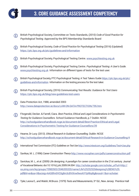

- British Psychological Society, Committee on Tests Standards, (2010) *Code of Good Practice for*  (i) *Psychological Testing.* Approved by the BPS Membership Standards Board
- British Psychological Society, *Code of Good Practice for Psychological Testing* (2016) (Updated) G) https://ptc.bps.org.uk/ptc/guidelines-and-information
- (i) British Psychological Society, Psychological Testing Centre. www.psychtesting.org.uk
- British Psychological Society, Psychological Testing Centre. *Psychological Testing: A User's Guide.*  (i) www.psychtesting.org.uk Information on different types of tests for the test user.
- British Psychological Society, PTC Psychological Testing: A Test Takers Guide https://ptc.bps.org.uk/ptc/ (i) guidelines-and-information Information on the testing process for the test taker.
- British Psychological Society, (2016) *Communicating Test Results: Guidance for Test Users* G https://ptc.bps.org.uk/blog/new-guidelines-test-users
- Data Protection Act, 1988, amended 2003  $(i)$ http://www.dataprotection.ie/docs/LAW-ON-DATA-PROTECTION/795.htm
- Fitzgerald, Declan. & Farrell, Ciara. *Best Practice, Ethical and Legal Considerations in Psychometric*  G) *Testing for Guidance Counsellors.* School Guidance Handbook, p.7 Dublin: NCGE http://schoolguidancehandbook.ncge.ie/document-detail/Best-Practice-Ethical-and-Legal Considerations-in-Psychometric-Testing-for-Guidance-Counsellors/39
- Hearne, Dr Lucy. (2013). *Ethical Research in Guidance Counselling.* Dublin: NCGE (i) http://schoolguidancehandbook.ncge.ie/document-detail/Ethical-Research-in-Guidance-Counselling/4
- (i) International Test Commission (ITC) *Guidelines on Test Use* http://www.intestcom.org/Guidelines/Test+Use.php
- $(i)$ Savikas, M. L. (1996) *Career Construction Theory* http://www.vocopher.com/pdfs/careerconstruction.pdf
- Savickas, M. L., et al. (2009) Life designing: A paradigm for career construction in the 21st century. *Journal*  G *of Vocational Behavior,* doi:10.1016/j.jvb.2009.04.004 http://scholar.google.com/scholar\_url?url=http:// xa.yimg.com/kq/groups/70983503/2046355320/name/Life%25252520designing%28ENG%29. pdf&hl=en&sa=X&scisig=AAGBfm0VO3g8m3cBViXnw9wxAiYYpNhpBg&nossl=1&oi=scholarr
- Tyler, Leona E., and Walsh, W.Bruce. (1979) *Tests and Measurements,* 3rd Ed., New Jersey: Prentice Hall $(i)$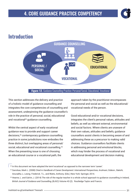

### Introduction



**Figure 12.** Guidance Counselling Practice: Personal/Social, Educational, Vocational

This section addresses the delivery and practice of a holistic model of guidance counselling and integrates the core competencies of counselling and assessment, underpinning the guidance counsellor's role in the practice of personal, social, educational and vocational<sup>34</sup> quidance counselling.

Whilst the central aspect of early vocational guidance was to provide and support career decisions,35 contemporary guidance counselling practice in some jurisdictions now embodies the three distinct, but overlapping areas of personal/ social, educational and vocational counselling.<sup>36</sup> When the presenting issue is one of choosing an educational course or a vocational path, the

approach taken by the practitioner encompasses the personal and social as well as the educational/ vocational needs of the person.

Good educational and/or vocational decisions, integrates the client's personal values, attitudes and beliefs, as well as relevant external, environmental and social factors. Where clients are unaware of their own values, attitudes and beliefs, guidance counsellors assist clients in becoming aware of and addressing these as a precursor to making valid choices. Guidance counsellors facilitate clients in addressing personal and emotional blocks, which may hinder the process of vocational and educational development and decision making.

<sup>&</sup>lt;sup>34</sup> In this document we have adopted the term'vocational' as opposed to the narrower term 'career'.

<sup>35</sup> Savickas, Mark L. (2008) Cited in *Handbook of Career Development: International Perspectives,* Arulmani, Gideon., Bakshi, Anuradha J., Leong. Frederick. T.L., and Watts, Anthony. (Eds.) New York: Springer, 2014.

<sup>36</sup> Hearne, L. and Galvin, J. (2014) The role of the regular teacher in a whole school approach to guidance counselling in Ireland, *British Journal of Guidance and Counselling,* (BJGC) Volume 43 (2). Routledge Taylor and Francis.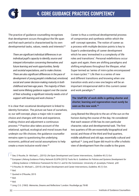The practice of guidance counselling recognises that development occurs throughout the life span and that each period is characterised by its own developmental tasks, values, needs and interests<sup>'37</sup>

*There are significant individual differences in an individual pupil's capacity to identify, source and interpret information concerning themselves and future learning and work opportunities, family and societal expectations, and to make choices. There are also significant differences in the pace of development of young people's intellectual, emotional, social and career decision-making maturity in both childhood and teen-age years. The majority of them need some lifelong guidance support over the course of their schooling; a significant minority needs a lot of support with learning and work choices.38*

It is clear that vocational development is linked to identity formation. The picture we have of ourselves, or, our self-concept, plays a major role in career choice and changes with time and experience, making choice and adjustment a continuous process.39 Practice also takes account of the relational, spiritual, ecological and moral issues that underpin our life choices; the guidance counsellor remains open to questioning the underlying economic, political and social assumptions to help create a more inclusive world view.40

Career is thus a continual developmental process of compromise and synthesis within which the self- concept operates. The notion of career as a process with multiple decision points is key to Super's understanding of career development which he sees 'enmeshed in a complexity of life roles and transitions'. Personal redefinitions occur again and again; there are shifting paradigms and shifting emphases throughout the lifespan, what Super termed as 'series of mini-cycles encompassed in maxi-cycles'.41 Life then is a series of new and different transitions and knowing when one transition ends and a new one begins will be an important intrapersonal skill in this current career and work paradigm.42

**The 'shelf life' of work skills is getting shorter and shorter; learning and regeneration must surely be seen as the new work.43**

Jung likened the lifecycle to the arc of the sun on the horizon during the course of the day. He considered that each season of life has its own particular character, value and developmental task. The first two quarters of life are essentially biographical and social, and those of the third and final quarters, middle adulthood and old age, essentially cultural and spiritual.44 Jung and Super did much to offer a holistic view of development from the cradle to the grave.

 $43$  Ibid.

44 Jung, C.G. (1963) *Memories, Dreams and Reflections'* London: Routledge pp.78-80

<sup>37</sup> See, O Rourke, Dr Michael L., (2015) Life-Span Development and Career Interventions,. *Guideline* 45 (1) Oct

<sup>38</sup> European Lifelong Guidance Policy Network ELGPN (2015) Tools No 6. *Guidelines for Policies and Systems Development for*  Lifelong Guidance: A Reference Framework for the E.U. and for the Commission. University of Jyvaskyla, Finland, p30

<sup>39</sup> O Rourke, Dr. Michael L., (2015) Life-Span Development and Career Interventions, *Guideline,* 45 (1) Oct.

 $40$  Ibid.

<sup>41</sup> Quoted in O'Rourke, 2015

 $42$  Ibid.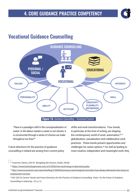### Vocational Guidance Counselling



*'There is a paradigm shift in the conceptualisation of career. In the labour market a career is not chosen, it is constructed through a series of choices we make throughout our lives'45*

Future directions for the practice of guidance counselling in Ireland are arising from current policy shifts and work transformations. Four trends, in particular, at the time of writing, are shaping the contemporary world of work: automation, 4647 globalisation, casualisation and collaborative work practices. These trends present opportunities and challenges for career options.48 As well as leading to more creative, independent and meaningful work, they

<sup>45</sup> Vuorinen, Raimo, (2015) *Navigating the Horizon,* Dublin, NCGE

<sup>46</sup> https://www.technologyreview.com/s/515926/how-technology-is-destroying-jobs/

<sup>47</sup> http://www.economist.com/news/briefing/21594264-previous-technological-innovation-has-always-delivered-more-long-runemployment-not-less

<sup>48</sup> IGC (2013) *Current Trends and Future Directions for the Practice of Guidance Counselling- Vision for the Future of Guidance Counselling in Ireland* pp. 4-5, p.12.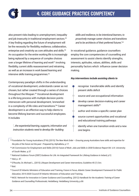

also present risks leading to unemployment, inequality and job insecurity in traditional employment sectors.<sup>49</sup> A key finding regarding the future of employment will be the necessity for flexibility, resilience, collaboration, enterprise and creativity as core attitudes and skills.<sup>50</sup> An occupation for the entire working life is increasingly being replaced by a sequence of complex choices over a longer lifetime of learning and work<sup>51</sup> involving flexibility, current skills reassessment and retraining, as well as an increase in work based learning and intensive skills training programmes.<sup>52</sup>

Contemporary paradigm shifts in the understanding of vocational development, understands career as not chosen, but rather created through a series of choices throughout the lifespan.53 Vocational development is a life-long process with multiple decision points interwoven with personal development, 'enmeshed in a complexity of life roles and transitions.'54 Career development is an effective way to help clients to become lifelong learners and successful employees. It includes

*'…the experiential learning, supports, information and instruction students need to develop life–building* 

*skills and resilience, to be intentional learners, to proactively manage career choices and transitions and to be architects of their preferred futures'.55*

In vocational guidance, guidance counsellors employ the core competencies of counselling and assessment to assist clients identify strengths, interests, aptitudes, values, abilities, skills and personality factors which influence career decision making.

#### *Key interventions include assisting clients to*

- recognise transferrable skills and identify present skills deficit • source and use occupational information • develop career decision-making and career management skills<sup>56</sup> • author and review a specific career plan source current opportunities and vocational and educational training pathways identify when one transition ends and a new
	- one begins
- 49 Foundation for Young Australians (FYA) (2015) *The New Work Order Ensuring young Australians have skills and expertise for the jobs of the future not the past* - Prepared by AlphaBeta, p.17.
- 50 UK Commission for Employment and Skills (2014) *Future of Work: Jobs and Skills in 2030* Evidence Report 84. U.K: University of South Wales. p.37
- 51 National *Guidance Forum (2007) Guidance for Life: An Integrated Framework for Lifelong Guidance in Ireland,* p12.
- 52 Ibid, p. 47.
- <sup>53</sup>O'Rourke, Dr, Michael L., (2015) *Lifespan Development and Career Interventions,* Guideline 45 (1) Oct. 54 Ibid.
- 55 Council Of Atlantic Ministers of Education and Training, *Future in Focus, Atlantic Career Development Framework for Public Education,* 2015-2020 Council Of Atlantic Ministers of Education and Training.
- 56 NICE: Network for Innovation in Career Guidance and Counselling. (2012) *Handbook for the Academic Training of Career Guidance and Counselling Professionals,* Heidelberg: Heidelberg University, p.66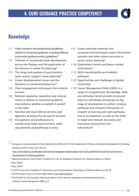

### Knowledge

- *1.1* Policy, research and professional guidelines related to vocational guidance, including lifelong transversal quidance policy quidelines<sup>57</sup>
- *1.2* Theories of vocational/career development across the lifespan and the application of the theories in career life planning<sup>58</sup>
- *1.3* The range and purpose of psychometric tests used to support career planning<sup>59</sup>
- *1.4* Career developmental issues and the dynamics of vocational behaviour<sup>60</sup>
- *1.5* Client engagement techniques from eclectic sources
- *1.6* Relevant regulation, legislation and cultural norms in relation to vocational guidance interventions, whether on behalf of oneself or the client
- *1.7* National and local referral services and agencies assisting the job-search process
- *1.8* Occupations and professions, to include work tasks and functions; skills requirements and pathways to entry
- *1.9* Career planning materials and computer/internet-based career information systems and other online resources to assist career planning<sup>61</sup>
- *1.10* Employment trends and labour market information<sup>62</sup>
- *1.11* Skills transferability and mobility pathways
- *1.12* Opportunities and challenges of global citizenship
- *1.13* Career Management Skills (CMS) in a range of competencies, (knowledge, skills and attitudes) which provide structured ways for individuals and groups at any stage of development to collect, analyse, sythesise and interpret information on oneself, on learning and work pathways and on occupations, as well as the skills to make and interpret decisions and transitions arising from this  $information<sup>63</sup>$

- 62 EGFSN Expert Group on Future Skills Needs www.skillsireland.ie
- <sup>63</sup> ELGPN (2015) The European Lifelong Guidance Policy Network *Designing and Implementing Policies related to Career Management Skills,* p.21

<sup>57</sup> European Lifelong Guidance Policy Network (ELGPN) (2007-2015) *Guidelines for Policies and Systems Development for Lifelong Guidance,* ELGPN Tools, No 6 (2015)

http://www.elgpn.eu/publications/browse-by-language/english/elgpn-tools-no-6-guidelines-for-policies-and-systemsdevelopment-for-lifelong-guidance

<sup>58</sup> National Guidance Forum (2007) *Guidance for Life. An Integrated Framework for Lifelong Guidance in Ireland.* 59 Ibid. (2007)

<sup>60</sup> Ibid. (2007)

<sup>&</sup>lt;sup>61</sup> ELGPN Tools, No 6, Guideline 9: *Information and Communications Technology in Lifelong Guidance, pp.26-28*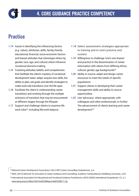

### **Practice**

- *1.14* Assist in identifying the influencing factors (e.g. values, attributes, skills, family, friends, educational, financial, socio-economic factors and biased attitudes that stereotype others by gender, race, age, and culture) which influence vocational decision-making
- *1.15* Fostering attitudes, beliefs, and competencies that facilitate the client's mastery of vocational development tasks: adapt, acquire new skills, the ability to plan, set goals and identify strategies to make work role transitions over the life span
- *1.16* Facilitate the client in understanding career transitions and working through the multiple stressors of transition that may be encountered at different stages through the lifespan
- *1.17* Support and challenge clients to examine life work roles<sup>64</sup>, including life-work balance
- *1.18* Select assessment strategies appropriate to training and to one's practice and context
- *1.19* Willingness to challenge 'one's own biases' and practice in the dissemination of career information with clients from differing ethnic, cultural, gender, age backgrounds<sup>65</sup>
- *1.20* Ability to source, adapt and design career resources to meet the needs of specific populations
- *1.21* Support clients in developing their career management skills and ability to source opportunities
- *1.22* Use 'advocacy', where appropriate, with colleagues and other professionals, to further 'the advancement of clients learning and career development'66

<sup>64</sup> National Career Development Association, USA (1997) *Career Counselling Competencies,* p.4.

<sup>65</sup> NICE, (2012) Network for Innovation in Career Guidance and Counselling, *Academic Training Manual,* Heidelberg University, p.69 <sup>66</sup> International Association for Educational and Vocational Guidance Practitioners, IAEVG (2003) *International Competencies* C2 , p.1. www.iaevg.org/crc/files/CQS-Final%20Report-draft%208111.do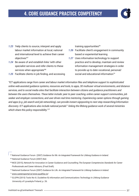#### 4. CORE GUIDANCE PRACTICE COMPETENCY



- *1.23* 'Help clients to source, interpret and apply labour market information at local, national and international level to achieve their career objectives'67
- *1.24* Be aware of and establish links 'with other specialist services and refer clients to these services when appropriate'<sup>68</sup>
- *1.25* Facilitate clients in job finding, and accessing

training opportunities<sup>69</sup>

- *1.26* Facilitate client's engagement in community based or experiential learning
- *1.27* Uses information technology to support practice and to develop, maintain and review information management strategies in order to provide up to date vocational, personal/ social and educational information<sup>70</sup>

*"ICT applications range from career and labour market information files and telephone support to sophisticated online web-assisted guidance systems, resources and tools, to apps, 3D multiuser virtual environments, and distance services, and to social media sites that facilitate interaction between citizens and guidance practitioners and between the users themselves. These latter include: peer to peer coaching, online career support communities, job seeker and employer connections, and user driven real time mentoring. Experiencing career options through gaming and apps (e.g. job search and job networking), can provide instant signposting to next step researching/information discovery. ICT applications also include national portals71 linking the lifelong guidance work of several ministries which share this policy responsibility.72"*

67 National Guidance Forum (2007) *Guidance for life: An Integrated Framework for Lifelong Guidance in Ireland.* 68 National Guidance Forum (2007) Ibid.

- 69 NICE (2015), Network for Innovation in Career Guidance and Counselling *The European Competencies Standards for Career Professionals and Career Advisors,* (Final Draft).
- 70 National Guidance Forum (2007) *Guidance for Life. An Integrated Framework for Lifelong Guidance in Ireland.*

71 www.careersportal.ie/www.qualifax.ie/

<sup>72</sup> ELGPN (2015) Tools No 6 ( Guideline 9) *Information and Communications Technology in Lifelong Guidance* University of Lyvaskyla Finland, p. 26.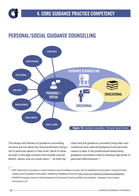

# PERSONAL/SOCIAL GUIDANCE COUNSELLING



The design and delivery of guidance counselling services are not value free and practitioners bring a set of personal values to their work. Much of what we learn is through contexts that include cultural beliefs, values, and our world views.<sup>73</sup> As both the

client and the guidance counsellor bring their own contextual and cultural background and personal values to bear in the professional relationship, guidance counsellors need to develop high levels of personal reflectiveness.<sup>74</sup>

<sup>73</sup> NICE: Network for Innovation in Career Guidance and Counselling in Europe. (2012) *Handbook for the Academic Training of Career Guidance and Counselling Professionals,* Heidelberg: Heidelberg University. http://www.nice-network.eu/welcome/publications

<sup>74</sup> CEDEFOP European Centre for the Development of Vocational Training, (2009), Annual Report. European Communities/ Commission. p71.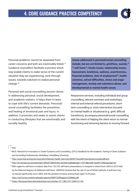#### 4. CORE GUIDANCE PRACTICE COMPETENCY



Personal problems cannot be separated from career concerns and both are inextricably linked.75 Guidance counsellors facilitate a process which may enable clients to make sense of the current situation they are experiencing, work through issues, towards solutions to realize personal change.76

Personal and social counselling assists clients in addressing personal, social development, and academic matters. It helps them to learn to cope with life's current demands. Personal/ social counselling facilitates the prevention, and healing of emotional pain and injury. In addition, it promotes and seeks to assist clients in conducting lifestyles that are emotionally and socially healthy.

**Issues addressed in personal/social counselling include, but are not limited to, grief/loss, suicide,77, 78 self-harm79, family issues, relationship issues, harassment, loneliness, sadness, assertiveness, financial problems, lack of employment80, health concerns, school difficulties, stress and anger management, anxiety and substance abuse, and developmental or mental health issues**

Responsive services, including individual and group counselling, relevant seminars and workshops, internal and external referral procedures, shortterm counselling or crisis intervention focused on mental health or situational (e.g. grief, difficult transitions), accompany personal/social counselling with the intent of helping the client return to normal functioning and removing barriers to moving forward.

75 Ibid.

- 76 NICE: Network for Innovation in Career Guidance and Counselling. (2012) *Handbook for the Academic Training of Career Guidance and Counselling Professionals,* Heidelberg: Heidelberg University.
- <sup>77</sup> http://www.hse.ie/eng/services/list/4/Mental\_Health\_Services/NOSP/SuicidePreventionie/suicideselfharm
- <sup>78</sup> http://ec.europa.eu/eurostat/tgm/refreshTableAction.do?tab=table&plugin=12014&pcode=tps00122&language=en
- <sup>79</sup> With regard to self-harm in Ireland, data from 122,743 self-harm presentations to hospital in Ireland from 2003 to 2013 held by the National Registry of Deliberate Self-Harm (NRDSH) showed that the rate of use of lethal methods of self-harm has increased significantly since 2004, with the greatest increase among those aged 15-29 years.

http://nsrf.ie/wp-content/uploads/reports/NSRF%20Registry%20Web.pdf

<sup>80</sup> https://bmcpsychiatry.biomedcentral.com/articles/10.1186/1471-244X-13-144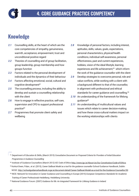

# Knowledge

- *2.1* Counselling skills, at the heart of which are the core competencies of empathy, genuineness, warmth, acceptance, empowerment, trust and unconditional positive regard
- *2.2* Theories of counselling and of group facilitation, group leadership, group membership and how groups function
- *2.3* Factors related to the personal development of individuals and the dynamics of their behaviour
- *2.4* Factors affecting emotional, social, cultural and cognitive development<sup>81</sup>
- *2.5* The counselling process, including the ability to develop and sustain a counselling relationship with the client
- *2.6* How to engage in reflective practice, self-care, supervision and CPD to support professional practice<sup>82</sup>
- *2.7* Programmes that promote client safety and wellbeing
- *2.8* Knowledge of personal factors, including interest, aptitudes, skills, values, goals, expectations, personal characteristics, physical/health conditions, individual self-awareness, personal effectiveness, past and current experiences, hobbies, vision of the ideal lifestyle, learning experiences and life achievement,<sup>83</sup> which inform the work of the guidance counsellor with the client
- *2.9* Develop strategies to overcome personal, role and value conflicts, while working with a client with a background different to that of the counsellor, in alignment with professional and ethical standards for career quidance and counselling.<sup>84</sup>
- *2.10* An understanding of the framework for lifelong quidance<sup>85</sup>
- *2.11* An understanding of multicultural values and issues which relate to career decision-making and how these cross-cultural matters impact on the working relationships with clients

- <sup>81</sup> Department of Education & Skills, (March 2015) *Consultative Document on Proposed Criteria for Providers of Initial Education Programmes in Guidance Counselling*
- 82 Institute of Guidance Counsellors (March 2012) *IGC Code of Ethics* http://www.igc.ie/About-Us/Our Constitution/Code-of-Ethics
- 83 Korkut-Owen, Fidan., et al. (2015), *Career Sailboat Model as a tool for the guidance counsellor* School Guidance Handbook, Dublin: NCGE. http://schoolguidancehandbook.ncge.ie/document-detail/Career-Sailboat-Model-as-a-tool-for-the-Guidance-Counsellor/50
- 84 NICE: Network for Innovation in Career Guidance and Counselling in Europe (2015) *European Competence Standards for Academic Training of Career Professionals* Heidelberg: Heidelberg University

85 National Guidance Forum: (2007) *Guidance for life: An Integrated Framework for Lifelong Guidance in Ireland.*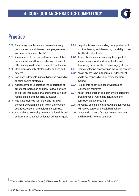

# **Practice**

- *2.12* Plan, design, implement and evaluate lifelong personal and social development programmes and interventions for clients<sup>86</sup>
- *2.13* Assist clients to develop self-awareness of their personal values, attitudes, beliefs and those of others and provide space for creative reflection
- *2.14* Help clients identify strategies for building selfesteem
- *2.15* Facilitate individuals in identifying and expanding existing coping strategies
- *2.16* Assist clients to understand the importance of emotional expression and how to develop ways to express these appropriately, incorporating selfregulation and self soothing strategies
- *2.17* Facilitate clients to formulate and review a personal development plan within their current social, educational or employment contexts
- *2.18* Assist clients to develop communication skills and collaborative relationships for achieving their goals
- *2.19* Help clients in understanding the importance of positive thinking and developing the ability to use this life skill effectively
- *2.20* Assist clients in understanding the impact of stress on emotional and social health, and developing personal skills for managing stress
- *2.21* Promote effective negotiation in managing conflict
- *2.22* Assist clients to be autonomous, independent and to act responsibly in life/work decisionmaking
- *2.23* Help clients to develop assertiveness and resilience in their lives
- *2.24* Assist in the creation and delivery of appropriate programmes of 'well-being' relevant to the context or practice setting
- *2.25* Advocacy on behalf of clients, where appropriate, to improve personal or social difficulties
- *2.26* Consult with client's family, where appropriate, and liaise with referral agencies

86 See also National Guidance Forum (2007) *Guidance for Life: An Integrated Framework for Lifelong Guidance,* Dublin: NGF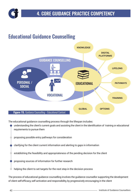

# Educational Guidance Counselling



The educational guidance counselling process through the lifespan includes:

- understanding the client's current goals and assisting the client in the identification of training or educational requirements to pursue them
	- proposing possible entry pathways for consideration
- clarifying for the client current information and alerting to gaps in information
- establishing the feasibility and appropriateness of the pending decision for the client
- proposing sources of information for further research
- helping the client to set targets for the next step in the decision process

The process of educational guidance counselling involves the guidance counsellor supporting the development of client self-efficacy, self activation and responsibility, by progressively encouraging in the client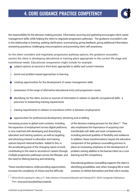#### 4. CORE GUIDANCE PRACTICE COMPETENCY



the responsibility for the decision making process. Information sourcing and gathering encourages client career management skills, while helping the client to negotiate progression pathways. The guidance counsellor's role in the relationship is listening, seeking clarification, summarising, giving feedback, giving additional information, answering questions, challenging misconceptions and promoting client self awareness.

As the client considers and negotiates progression pathway options, the guidance counsellor assists the client in developing educational or training plans appropriate to the current life stage and transitional needs. Educational components might include for example:

- subject options at second or third level, appropriate to ability and current interests
- active and problem based approaches to learning
- creating opportunities for the development of career management skills
- awareness of the range of alternative educational entry and progression routes
- identifying, for the client, access to sources of information in relation to specific occupational skills a precursor to researching training requirements
- training requirements in relation to transitions within or between employments
- opportunities for professional development, retraining and re-skilling

Increasing access to global work contexts, including the expansion of employment across digital platforms, is now matched with developing and diversifying education and training systems, as well as targeting and attracting interest in education and training options beyond national borders. Added to this, is the accelerating pace of the changing nature of work, contributing to the need to reconstruct careers through multiple progression pathways across the lifespan, and the need for lifelong learning and retraining.

These transformations, while providing opportunities, increase the complexity of choice and the difficulty

of the decision making process for the client.<sup>87</sup> They also emphasise the importance of acquiring core transferable soft skills and work competencies, including personal qualities of flexibility and resilience. In addition, these transformations require the educative component of the guidance counselling process to place an increasing emphasis on the development of problem solving abilities in the learner/client as a core learning and life competency.

Educational guidance counselling supports the client in identifying possibilities, and, when changing life or work contexts, to rethink themselves and their role in society.

<sup>87</sup>OECD (2010) Learning for Jobs, p.77. *Policy Reviews of Vocational Education and Training* (VET) OECD: Corrigenda Publications, Paris. www.oecd.org/publishihg/corrigenda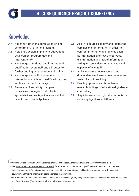

# Knowledge

- *3.1* Ability to foster an appreciation of, and commitment, to lifelong learning
- *3.2* Help plan, design, implement educational development programmes and interventions<sup>88</sup>
- *3.3* Knowledge of national and international qualification systems<sup>89</sup> and all routes to further and higher education and training
- *3.4* Knowledge and ability to source international academic qualifications, their equivalences and pathways
- *3.5* Awareness of, and ability to employ, motivational strategies to help clients appreciate their talents, aptitudes and skills in order to reach their full potential
- *3.6* Ability to source, simplify and reduce the complexity of information in order 'to confront informational problems such as information overflow, stereotypes, disinformation and lack of information, taking into consideration the needs and capacity of clients'90
- *3.7* Ability to assess course content and differentiate emphases across courses and assist clients in so doing
- *3.8* Keeping up-to-date with the latest research findings in educational guidance counselling
- *3.9* Stay informed aboout global work contexts including digital work platforms

88 National Guidance Forum (2007) *Guidance for Life. An Integrated Framework for Lifelong Guidance in Ireland*, p.12. 89 See www.cedefop.europa.eu/files/4116\_en.pdf for information on international qualifications for education and training systems; www.qqi.ie for national systems and recognition of international qualifications; www.qualifax.ie, for access to education and training information both national and international.

<sup>90</sup> NICE Network for Innovation in Career Guidance and Counselling- (2015) *European Competence Standards for Career Professionals and Career Advisors,* (Final Draft) Heidelberg: Heidelberg University, p.4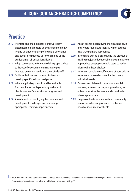

# **Practice**

- *3.10* Promote and enable digital literacy, problem based learning; promote an awareness of creativity and an understanding of multiple, emotional and social intelligences as key elements of the curriculum at all educational levels
- *3.11* Adapt content and information delivery, appropriate to the specific concerns, learning strategies, interests, demands, needs and traits of clients<sup>91</sup>
- *3.12* Guide individuals and groups of clients to develop specific educational plans
- *3.13* Where applicable, consult, and be available for consultation, with parents/guardians of clients, on client's educational progress and development
- *3.14* Assist clients in identifying their educational development challenges and accessing appropriate learning support needs
- *3.15* Assist clients in identifying their learning style and, where feasible, to identify which courses may thus be more appropriate
- *3.16* Inform and advise clients during the process of making subject/educational choices and where appropriate, use psychometric tests to assist clients with these choices
- *3.17* Advise on possible modifications of educational experience required to cater for the client's individual needs
- *3.18* Consult and liaise with educators, social workers, administrators, and guardians, to enhance work with clients and coordinate where appropriate
- *3.19* Help co-ordinate educational and community personnel, where appropriate, to enhance possible resources for clients

<sup>91</sup> NICE Network for Innovation in Career Guidance and Counselling - *Handbook for the Academic Training of Career Guidance and Counselling Professionals.* Heidelberg: Heidelberg University 2012, p.65.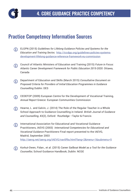

### Practice Competency Information Sources

- ELGPN (2015) *Guidelines for Lifelong Guidance Policies and Systems for the*  G) *Education and Training Sector,* http://iccdpp.org/guidelines-policies-systemsdevelopment-lifelong-guidance-reference-framework-eu-commission
- Council of Atlantic Ministers of Education and Training (2015) *Future in Focus: Atlantic Career Development Framework for Public Education 2015-2020.* Ottawa, Canada
- Department of Education and Skills (March 2015) *Consultative Document on*  (i) *Proposed Criteria for Providers of Initial Education Programmes in Guidance Counselling* Dublin: DES
- CEDEFOP (2009) European Centre for the Development of Vocational Training, *Annual Report* Greece: European Communities Commission
- Hearne, L. and Galvin, J. (2014) The Role of the Regular Teacher in a Whole School Approach to Guidance Counselling in Ireland. *British Journal of Guidance and Counselling,* 43(2), Oxford: Routledge –Taylor & Francis
- International Association for Educational and Vocational Guidance (i) Practitioners, IAEVG (2003) *International Competencies for Educational and Vocational Guidance Practitioners* Final report presented to the IAEVG, Madrid, September 2003 http://iaevg.net/iaevg.org/IAEVG/nav0f9a.html?lang=2&menu=1&submenu=5
- Korkut-Owen, Fidan., et al. (2015) *Career Sailboat Model as a Tool for the Guidance Counsellor,* School Guidance Handbook, Dublin: NCGE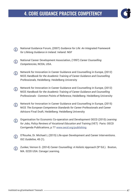#### 4. CORE GUIDANCE PRACTICE COMPETENCY



- National Guidance Forum, (2007) *Guidance for Life: An Integrated Framework*  (i) *for Lifelong Guidance in Ireland.* Ireland: NGF
- National Career Development Association, (1997) *Career Counselling*  (i) *Competencies,* NCDA, USA.
- Network for Innovation in Career Guidance and Counselling in Europe, (2012) G) NICE *Handbook for the Academic Training of Career Guidance and Counselling Professionals,* Heidelberg: Heidelberg University
- Network for Innovation in Career Guidance and Counselling in Europe, (2012) G) NICE *Handbook for the Academic Training of Career Guidance and Counselling Professionals - Common Points of Reference,* Heidelberg: Heidelberg University
- Network for Innovation in Career Guidance and Counselling in Europe, (2015)  $\Omega$ NICE *The European Competence Standards for Career Professionals and Career Advisors* Final Draft, Heidelberg: Heidelberg University
- Organisation for Economic Co-operation and Development OECD (2010) *Learning*  (i) *for Jobs, Policy Reviews of Vocational Education and Training* (VET) Paris: OECD Corrigenda Publications, p 77 www.oecd.org/publishing
- O'Rourke, Dr. Michael.L.(2015) Life-span Development and Career Interventions. IGC *Guideline*, 45 (1).
- Zunker, Vernon G. (2014) *Career Counselling: A Holistic Approach* (9th Ed.). Boston,  $\Omega$ MA. 0220 USA: Cenage Learning.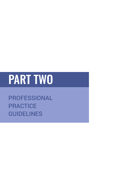# PART TWO

PROFESSIONAL **PRACTICE** GUIDELINES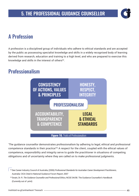

# A Profession

A profession is a disciplined group of individuals who adhere to ethical standards and are accepted by the public as possessing specialist knowledge and skills in a widely recognised body of learning derived from research, education and training to a high level, and who are prepared to exercise this knowledge and skills in the interest of others<sup>92</sup>.

# Professionalism



'The guidance counsellor demonstrates professionalism by adhering to legal, ethical and professional competence standards in their practice'93 A respect for the client, coupled with the ethical values of competence, responsibility and integrity serve to guide the practitioner in situations of competing obligations and of uncertainty where they are called on to make professional judgments.

<sup>92</sup> See Career Industry Council of Australia, (2006) Professional Standards for Australian Career Development Practitioners, Australia: CICA Cited in National Guidance Forum Report, 2007

<sup>93</sup> Swain, Dr. R. *The Guidance Counsellor and Professional Ethics,* NCGE 04/08. The Guidance Counsellor's Handbook (Currently out of print)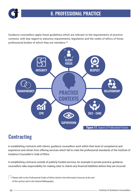

Guidance counsellors apply those guidelines which are relevant to the requirements of practice contexts, with due regard to statutory requirements, legislation and the codes of ethics of those professional bodies of which they are members.<sup>94</sup>



# **Contracting**

In establishing contracts with clients, guidance counsellors work within their level of competence and experience and refrain from offering services which fail to meet the professional standards of the Institute of Guidance Counsellor's *Code of Ethics*

In establishing contracts outside of publicly funded services, for example in private practice, guidance counsellors take responsibility for making clear to clients any financial liabilities before they are incurred

<sup>94</sup> Please refer to the Professional Codes of Ethics listed in the Information Sources at the end of this section and in the General Bibliography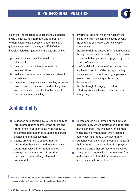#### 6. PROFESSIONAL PRACTICE



In general, the guidance counsellor should consider giving the following information, as appropriate, to clients before the process of undertaking any guidance counselling activity, mindful of client diversity, including gender, culture, age and ability:

- the quidance counsellor's role in the relationship
- $\Diamond$  the extent of the quidance counsellor's responsibilities
- qualifications, areas of expertise and relevant limitations
- the nature of the guidance counselling activities involved and the reasons for undertaking them and the benefits to the client in the case of assessment or counselling
- any referral options which may benefit the client, where any presenting issue is beyond the guidance counsellor's current level of competency
- the client's right to access information obtained through assessment, in particular if this is to be shared with third parties, e.g., psychologists or other professionals
- confidentiality in the counselling process and any limitations of confidentiality , including issues related to record keeping, supervision, research and continuing professional development
- the client's right to engage in and to withdraw from involvement in the process at any stage

# **Confidentiality**

- Guidance counsellors have a responsibility to inform prospective clients of the extent and limitations of confidentiality with respect to the anticipated guidance counselling service, counselling and assessment
- Clients are entitled to expect that the information they give a guidance counsellor about themselves, information derived through assessment and information disclosed in counselling, will remain confidential
- Clients should be informed of the limits of confidentiality where information about them may be shared. This will apply for example when dealing with minors, when issues of safety override those of confidentiality<sup>95</sup> • Guidance counsellors bring confidentiality in their practice to the attention of employers, managers and other professionals involved The quidance counsellor is not released from maintaining confidentiality because others have the same information.

95 When dealing with minors, refer to *Children First: National Guidance for the Protection and Welfare of Children* [2011] www.tusla.ie/services/child-protection-welfare/children-first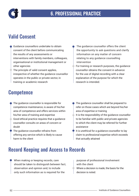

# Valid Consent

- Guidance counsellors undertake to obtain consent of the client before communicating the results of any assessments or interventions with family members, colleagues, organisational or institutional management or other agencies
- $\bullet$  The principle of valid consent applies, irrespective of whether the guidance counsellor operates in the public or private sector, in training or academic research

#### **Competence**

- The quidance counsellor is responsible for competence maintenance, is aware of his/her area of competence and offers services within his/her area of training and expertise
- $^\perp$  Good ethical practice requires that a quidance counsellor consults on areas of concern or doubt
- The guidance counsellor refrains from offering any service which is likely to cause harm to the client

The guidance counsellor offers the client the opportunity to ask questions and clarify information on any matter of concern relating to any guidance counselling intervention

 $\blacktriangleright$  For training or research purposes, the guidance counsellor obtains the consent in advance for the use of digital recording with a clear explanation of the purpose for which the research is intended.

- The quidance counsellor shall be prepared to refer on those cases which are beyond his/her area of expertise or training It is the responsibility of the quidance counsellor to be familiar with public and private agencies to which the client may be referred for further assistance It is unethical for a guidance counsellor to lay
- claim to professional expertise which exceeds that actually attained

#### Record Keeping and Access to Records

• When making or keeping records, care should be taken to distinguish between fact, observation and opinion and, to include only such information as is required for the

purpose of professional involvement with the client  $\bullet$  Where a decision is made, the basis for the decision is noted.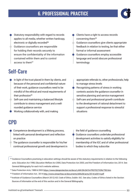#### 6. PROFESSIONAL PRACTICE



- Statutory responsibility with regard to records applies to all media, whether written hardcopy, electronic or digitally recorded<sup>96</sup>
- Guidance counsellors are responsible for holding their records securely to ensure the confidentiality of the information contained within them and to control access to them<sup>97</sup>

### Self-Care

- In light of the trust placed in them by clients, and because of the personal and confidential nature of their work, guidance counsellors need to be mindful of the ethical and moral requirements of their profession<sup>99</sup>
- Self-care and maintaining a balanced lifestyle contribute to stress management and a wellrounded guidance service

• Working collaboratively with, and making

### CPD

- Competence development is a lifelong process, linked with personal development and reflection on practice
- $\blacktriangleright$  The quidance counsellor is responsible for his/her continual professional growth and development in
- Clients have a right to access records concerning them98
- $\bigcirc$  Guidance counsellors give clients appropriate feedback in relation to testing, be that either formal or informal assessment
- Guidance counsellors employ accessible language and avoid obscure professional terminology
- appropriate referrals to, other professionals, help to manage stress levels
- Recognising patterns of stress in working contexts assists the guidance counsellor in sensitive planning and service management Self-care and professional growth contribute to the development of rational detachment to support a professional response to stressful situations
- the field of guidance counselling • Guidance counsellors undertake professional development activities to satisfy eligibility for membership of the IGC and of other professional bodies to which they subscribe
- 96 Guidance Counsellors practising in education settings should be aware of the statutory requirements in relation to the following acts: Education Act 1998, Education Welfare Act 2000, Data Protection Act 2003, and the Freedom of Information Act, 2014. See General Bibliography for each Act's website address.
- 97 Data Protection Acts, 1988 & 2003 https://www.dataprotection.ie/docs/LAW-ON-DATA-PROTECTION/795.htm
- 98 Freedom of Information Act, 2014 http://www.oireachtas.ie/documents/bills28/acts/2014/a3014.pdf
- 99 Institute of Guidance Counsellors (March 2012) IGC *Code of Ethics,* Dublin: IGC. See also, Codes of Ethics listed in the Section *Sources of Information* at the end of this section and in the General Bibliography.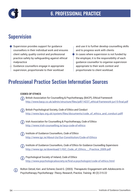

# Supervision

- Supervision provides support for guidance counsellors in their individual work and ensures client safety, quality control and professional practice safety by safeguarding against ethical malpractice
- Guidance counsellors engage in appropriate supervision, proportionate to their workload

and use it to further develop counselling skills and to progress work with clients In cases where supervision is not funded by the employer, it is the responsibility of each guidance counsellor to organise supervision appropriate to their work context and proportionate to client workload.

# Professional Practice Section Information Sources

#### **CODES OF ETHICS**

- British Association for Counselling & Psychotherapy, (BACP), *Ethical Framework* http://www.bacp.co.uk/admin/structure/files/pdf/14237\_ethical-framework-jun15-final.pdf
- British Psychological Society, *Code of Ethics and Conduct* http://www.bps.org.uk/system/files/documents/code\_of\_ethics\_and\_conduct.pdff
- Irish Association for Counselling & Psychotherapy, *Code of Ethics* http://www.irish-counselling.ie/iacp-code-of-ethics
- Institute of Guidance Counsellors, *Code of Ethics* http://www.igc.ie/About-Us/Our-Constitution/Code-of-Ethics
- Institute of Guidance Counsellors, *Code of Ethics for Guidance Counselling Supervisors* http://www.igc.ie/download/1/IGC\_Code\_of\_Ethics\_\_Practice\_2009.pdf
- Psychological Society of Ireland, *Code of Ethics* http://www.psychologicalsociety.ie/find-a-psychologist/code-of-ethics.html
- Bolton Oetzel, Keri. and Scherer, David G. (2003). Therapeutic Engagement with Adolescents in G) Psychotherapy *Psychotherapy: Theory, Research, Practice, Training.* 40 (3) 215-22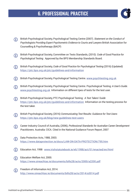#### 6. PROFESSIONAL PRACTICE



- British Psychological Society, Psychological Testing Centre (2007). *Statement on the Conduct of*  (i) *Psychologists Providing Expert Psychometric Evidence to Courts and Lawyers* British Association for Counselling & Psychotherapy (BACP)
- British Psychological Society, Committee on Tests Standards, (2010). *Code of Good Practice for*  (i) *Psychological Testing.* Approved by the BPS Membership Standards Board.
- British Psychological Society, *Code of Good Practice for Psychological Testing* (2016) (Updated)  $(i)$ https://ptc.bps.org.uk/ptc/guidelines-and-information
- G) British Psychological Society, Psychological Testing Centre. www.psychtesting.org.uk
- British Psychological Society, Psychological Testing Centre. Psychological Testing: *A User's Guide.*  www.psychtesting.org.uk Information on different tpes of tests for the test user.
- British Psychological Society, PTC Psychological Testing: *A Test Takers' Guide* G) https://ptc.bps.org.uk/ptc/guidelines-and-information Information on the testing process for the test taker.
- British Psychological Society, (2016) *Communicating Test Results: Guidance for Test Users* G) https://ptc.bps.org.uk/blog/new-guidelines-test-users
- Career Industry Council of Australia, (2006), *Professional Standards for Australian Career Development*  O *Practitioners.* Australia: CICA. Cited in the National Guidance Forum Report, 2007
- Data Protection Acts, 1988, 2003. G https://www.dataprotection.ie/docs/LAW-ON-DATA-PROTECTION/795.htm
- (i) Education Act, 1998 www.irishstatutebook.ie/eli/1998/act/51/enacted/en/html
- Education Welfare Act, 2000. (i) https://www.oireachtas.ie/documents/bills28/acts/2000/a2200.pdf
- Freedom of Information Act, 2014. G http://www.oireachtas.ie/documents/bills28/acts/2014/a3014.pdf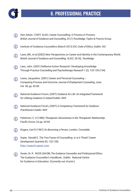

- Herr, Edwin. (1997) BJGC, Career Counselling: A Process in Process.  $(i)$ *British Journal of Guidance and Counselling,* 25 (1) Routledge, Taylor & Francis Group
- $(i)$ Institute of Guidance Counsellors (March 2012) IGC *Code of Ethics,* Dublin: IGC
- Laws, Bill., et al.(2002) New Perspectives on Career and Identity in the Contemporary World.  $(i)$ *British Journal of Guidance and Counselling,* BJGC, 30 (4), Routledge
- Lees, John. (2001) Reflexive Action Research: Developing Knowledge  $(i)$ Through Practice *Counselling and Psychotherapy Research* 1 (2), 132-139 (134)
- Lewis, Jacqueline. (2001) Career and Personal Counseling Comparing Process and Outcome *Journal of Employment Counseling,* June, Vol. 38, pp. 82-90
- National Guidance Forum, (2007) *Guidance for Life: An Integrated Framework*  (i) *for Lifelong Guidance in Ireland* Dublin: NGF
- National Guidance Forum, (2007) *A Competency Framework for Guidance*  (i) *Practitioners* Dublin: NGF
- Patterson, C. H (1985) *Therapeutic Genuineness in the Therapeutic Relationship.*  Pacific Grove, CA pp. 63-65
- $(i)$ Rogers, Carl R (1967) *On Becoming a Person,* London: Constable.
- Super, Donald E. The Two Faces of Counselling: or is it Three? *Career*  G) *Development Quarterly* 42, 132-136) http://search.epnet.com
- Swain, Dr. R. NCGE (04/08) *The Guidance Counsellor and Professional Ethics.*   $(i)$ The Guidance Counsellor's Handbook , Dublin: National Centre for Guidance in Education. (Currently out of print.)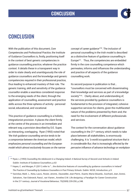#### **CONCLUSION**



# **CONCLUSION**

With the publication of this document, *Core Competencies and Professional Practice*, the Institute of Guidance Counsellors is, firstly, positioning itself in the context of best generic competencies in guidance counselling practice, whatever the practice context. It details these in a transparent way in order to state clearly and unambiguously the role of guidance counsellors and the knowledge and generic competencies required in their professional practice, thus leading to enhanced mastery of their role. The generic training, skill and sensitivity of the guidance counsellor enable a seamless considered response to the emerging needs of the client, through the application of counselling, assessment and practice skills across the three spheres of activity - personal/ social, educational, and vocational.

This practice of guidance counselling is a holistic, integrationist provision. It places the client firmly at the centre of the process in an immediate and relevant way, a provision described by D.E. Super, as interacting, overlapping. Ryan (1993) noted that *'the Irish guidance counselling service tends to be a compromise between the American model, which emphasizes personal counselling and the European model which almost exclusively focuses on the narrow*  *concept of career guidance'*100. The inclusion of personal counselling in the Irish model is described as a distinctive feature of guidance counselling in Europe<sup>101</sup>. Thus, the competencies are embedded firmly in the core counselling competence which permeates, informs and influences the understanding and practice of all aspects of the guidance counselling work.

Its second purpose in publication is that… "counsellors must be concerned with disseminating their knowledge and services as part of a knowledge society"<sup>102</sup>. Clarity about, and understanding of, the services provided by guidance counsellors is fundamental to the provision of integrated, cohesive supportive services for clients, given the multifaceted nature of the problems presented by them and, the need for the involvement of different professionals and services.

The context for the conversation about guidance counselling in the 21<sup>st</sup> century, which needs to take place between all stakeholders, is enormously challenging. It is *"a world occupational structure that is in considerable flux; that is increasingly affected by the pervasive influence of advance technology on workplace* 

<sup>100</sup> Ryan, L.(1993) *Counselling the Adolescent in a Changing Ireland: A National Survey of Second Level Schools in Ireland.* Dublin: Institute of Guidance Counsellors, p.63

<sup>101</sup> Hayes, C. and Morgan, P. (2011) refer to "....the distinctive features of counselling by guidance counsellors in Ireland" *The Practice of Counselling by Guidance Counsellors in Post Primary Schools*. Dublin: NCGE, Introduction, p.9

<sup>&</sup>lt;sup>102</sup> Savickas, Mark. L., Nota, Laura., Rosier, Jerome., Dauwalder, Jean-Pierre., Duarte, Maria Eduarda., Guichard, Jean., Soresi, Salvatore., Van Esbroeck, Raoul., van Vianen., Annelies E.M. Life designing: a Paradigm for Career Construction in the 21st century. *Journal of Vocational Behaviour*, 75(2009) 239-250, p.248.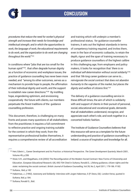

*procedures that reduce the need for worker's physical strength and increase their needs for knowledge and intellectual strength; and in which the opportunities to work, the language of work, the educational requirements to do work, and the organization to do work are changing throughout the world."*<sup>103</sup>

In conditions where "jobs that are too small for the human spirit"104, that often degrade human dignity as a function of economic and workplace issues, the practice of guidance counselling has never been more needed, and "among its other outcomes, serves as a mechanism to provide hope to people, the affirmation of their individual dignity and worth, and the support to establish new career directions."105 By instilling hope, engendering optimism, and envisioning cooperatively the future with clients, our members perpetuate the finest traditions of the guidance counselling profession.

This document, therefore, is challenging on many fronts and poses many questions of all stakeholders; from the practitioner, it requires a full commitment to reflexive practice and ongoing training suitable for the context in which they work; from the representative professional bodies themselves, it requires a comprehensive review of all accreditation

and training which will underpin a member's professional status; for guidance counsellor trainers, it sets out the highest standards in terms of competency training required, and invites them, even in the face of economic cutbacks, to retain the depth, rigour and the span of training necessary to produce guidance counsellors of the highest calibre in this challenging age; from employers and policy makers, it looks for recognition that *'there is no individual self-determination without social solidarity'*<sup>106</sup> and that *'life long career guidance can serve to…. reinvigorate the social contract that does not abandon humanity to the vagaries of the market, but places the dignity and welfare of citizens first.'*<sup>107</sup>

The delivery of a guidance counselling service in these difficult times, the aim of which is solidarity with and support of clients in their pursuit of personal, social, educational and vocational goals, demands that all stakeholders understand, recognize, and appreciate each other's role, and work together in a concerted holistic fashion.

The Institute of Guidance Counsellors believes that this resource will serve as a template for the future understanding and practice of guidance counselling in Ireland: a source of inspiration and knowledge for all.

<sup>103</sup> Herr, Edwin L., Career Development and Its Practice: a Historical Perspective. *The Career Development Quarterly*, March 2001, Volume 49, p.206

<sup>104</sup> Stoer, S.R., and Magalhaes, A.M.(2002) The Reconfiguration of the Modern Social Contract: New Forms of Citizenship and Education. *European Educational Research,* I(4), 692-704 Cited in Sultana, Ronald.G., Lifelong guidance, citizen rights and the state: reclaiming the social contract. *British Journal of Guidance Counselling*, Vol.39, No.2, April 2011, 179-186. P.182.

<sup>105</sup> Sultana., Ibid, p.182

<sup>106</sup> Habermas, J., (1992). *Autonomy and Solidarity: Interviews with Jurgen Habermas*, S (P. Dews, Ed). London:Verso, quoted in Sultana, Ibid, p.184.

<sup>107</sup> Sultana, Ronald G., Ibid.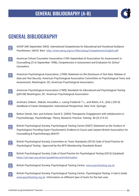

# GENERAL BIBLIOGRAPHY

- AIOSP (4th September 2003). *International Competencies for Educational and Vocational Guidance*   $\Box$ *Practitioners.* IAEVG: Bern http://www.iaevg.org/crc/files/iaevg/Competencies-English.pdf
- $\blacksquare$ American School Counselor Association (10th September) & Association for Assessment in Counselling (21st September 1998), *Competencies in Assessment and Evaluation for School Counselors.*
- American Psychological Association, (1996) *Statement on the Disclosure of Test Data: Release of*   $\blacksquare$ *Data and Test Security.* American Psychological Association Committee on Psychological Tests and Assessment, Washington, DC, American Psychological Association.
- American Psychological Association (1985) *Standards for Educational and Psychological Testing*   $\bigoplus$ (p55-58) Washington, DC: American Psychological Association.
- Arulmani, Gideon., Bakshi, Anuradha J., Leong Frederick T L., and Watts, A G., (Eds.) (2014)  $\bigcirc$ *Handbook of Career Development: International Perspectives.* New York: Springer
- Bolton Oetzel, Keri, and Scherer, David G. (2003) Therapeutic Engagement with Adolescents in  $\blacksquare$ Psychotherapy. *Psychotherapy: Theory, Research, Practice, Training.* 40 (3) 215-22.
- British Psychological Society, Psychological Testing Centre (2007) *Statement on the Conduct of*   $\blacksquare$ *Psychologists Providing Expert Psychometric Evidence to Courts and Lawyers* British Association for Counselling & Psychotherapy (BACP)
- British Psychological Society, Committee on Tests Standards (2010) *Code of Good Practice for*   $\bigoplus$ *Psychological Testing.* Approved by the BPS Membership Standards Board.
- $\blacksquare$ British Psychological Society, *Code of Good Practice for Psychological Testing* (2016) (Updated) https://ptc.bps.org.uk/ptc/guidelines-and-information
- $\bigoplus$ British Psychological Society, Psychological Testing Centre. www.psychtesting.org.uk
- British Psychological Society, Psychological Testing Centre. *Psychological Testing: A User's Guide.*   $\bigcirc$ www.psychtesting.org.uk Information on different tpes of tests for the test user.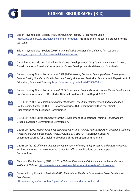

British Psychological Society PTC *Psychological Testing: A Test Takers Guide*  $\blacksquare$ https://ptc.bps.org.uk/ptc/guidelines-and-information Information on the testing process for the test taker. British Psychological Society (2016) *Communicating Test Results: Guidance for Test Users*  $\blacksquare$ https://ptc.bps.org.uk/blog/new-guidelines-test-users Canadian Standards and Guidelines for Career Development (2001) *Core Competencies*, Ottawa,  $\blacksquare$ Ontario: National Steering Committee for Career Development Guidelines and Standards Career Industry Council of Australia, CICA (2004) *Moving Forward - Shaping a Career Development*   $\bigoplus$ *Culture: Quality Standards, Quality Practice, Quality Outcomes.* Australian Government, Department of Education, Science & Training. http://files.eric.ed.gov/fulltext/ED536208.pdf Career Industry Council of Australia (2006) *Professional Standards for Australian Career Development*   $\blacksquare$ *Practitioners.* Australia: CCIA. Cited in National Guidance Forum Report, 2007 CEDEFOP (2009) *Professionalising Career Guidance: Practitioner Competences and Qualification*   $\blacksquare$ *Routes across Europe.* CEDEFOP Panorama Series, 164 Luxembourg: Office for Official Publications of the European Communities CEDEFOP (2009) European Centre for the Development of Vocational Training, *Annual Report*  $\Box$ Greece: European Communities Commission. CEDEFOP (2009) *Modernising Vocational Education and Training: Fourth Report on Vocational Training*   $\blacksquare$ *Research in Europe: Background Report*, Volume 2. CEDEFOP Reference Series: 70. Luxembourg: Office for Official Publications of the European Communities. CEDEFOP (2011) *Lifelong Guidance across Europe: Reviewing Policy, Progress and Future Prospects.*  $\blacksquare$ Working Paper No.11 Luxembourg: Office for Official Publications of the European **Communities** Child and Family Agency (TUSLA 2011) *Children First: National Guidance for the Protection and*   $\Box$ *Welfare of Children* http://www.tusla.ie/services/child-protection-welfare/children-first Career Industry Council of Australia (2011) *Professional Standards for Australian Career Development*   $\bigoplus$ *Practitioners* https://cica.org.au/wp-content/uploads/cica\_prof\_standards\_booklet.pdf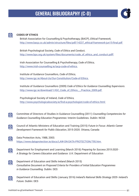#### GENERAL BIBLIOGRAPHY (С-D)





#### **CODES OF ETHICS**

British Association for Counselling & Psychotherapy, (BACP), *Ethical Framework*, http://www.bacp.co.uk/admin/structure/files/pdf/14237\_ethical-framework-jun15-final.pdf

British Psychological Society, *Code of Ethics and Conduct*, http://www.bps.org.uk/system/files/documents/code\_of\_ethics\_and\_conduct.pdff

Irish Association for Counselling & Psychotherapy, *Code of Ethics,* http://www.irish-counselling.ie/iacp-code-of-ethics

Institute of Guidance Counsellors, *Code of Ethics,*  http://www.igc.ie/About-Us/Our-Constitution/Code-of-Ethics

Institute of Guidance Counsellors (2009) *Code of Ethics for Guidance Counselling Supervisors*. http://www.igc.ie/download/1/IGC\_Code\_of\_Ethics\_\_\_Practice\_2009.pdf

Psychological Society of Ireland, *Code of Ethics,*  http://www.psychologicalsociety.ie/find-a-psychologist/code-of-ethics.html

- Committee of Directors of Studies in Guidance Counselling (2011) *Counselling Competencies for*   $\bigcirc$ *Guidance Counselling Education Programmes:* Interim Guidelines. Dublin: NCGE
- Council of Atlantic Ministers of Education and Training (2015) *Future in Focus: Atlantic Career*   $\blacksquare$ *Development Framework for Public Education*, 2015-2020. Ottawa, Canada
- Data Protection Acts, 1988, 2003.  $\blacksquare$ https://www.dataprotection.ie/docs/LAW-ON-DATA-PROTECTION/795.htm
- Department for Employment and Learning (March 2016) *Preparing for Success 2015-2020*   $\bigoplus$ *A Strategy for Careers Education and Guidance.* U.K: Department of Education
- Department of Education and Skills Ireland (March 2015)  $\bigcirc$ *Consultative Document on Proposed Criteria for Providers of Initial Education Programmes in Guidance Counselling.* Dublin: DES
- Department of Education and Skills (January 2016) *Ireland's National Skills Strategy 2025- Ireland's*   $\bigoplus$ *Future.* Dublin: DES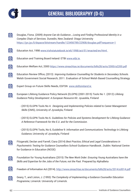

 $\bigcirc$ 

# GENERAL BIBLIOGRAPHY (D-G)

Douglas, Fiona. (2009) *Anyone Can do Guidance….Losing and Finding Professional Identity in a* 

https://jyx.jyu.fi/dspace/bitstream/handle/123456789/22908/douglas.pdf?sequence=1

*Complex Chain of Services.* Dunedin, New Zealand: Otago University

 $\blacksquare$ Education Act, 1998 www.irishstatutebook.ie/eli/1998/act/51/enacted/en/html  $\bigcirc$ Education and Training Board Ireland: ETBI www.etbi.ie  $\bigcirc$ Education Welfare Act, 2000 https://www.oireachtas.ie/documents/bills28/acts/2000/a2200.pdf  $\bigcirc$ Education Review Office, (2013) *Improving Guidance Counselling for Students in Secondary Schools.*  Welsh Government Social Research, 2011. Evaluation of School Welsh Based Counselling Strategy  $\bigcirc$ Expert Group on Future Skills Needs, EGFSN www.skillsireland.ie European Lifelong Guidance Policy Network (ELGPN) (2001-2015) Tools No 1. (2012) *Lifelong*   $\bigcirc$ *Guidance Policy Development: A European Resource Kit.* Jyuaskla, Finland - (2015) ELGPN Tools No 4. *Designing and Implementing Policies related to Career Management Skills* (CMS), University of Jyvaskyla, Finland - (2015) ELGPN Tools No 6. *Guidelines for Policies and Systems Development for Lifelong Guidance: A Reference Framework for the E.U. and for the Commission.*  - (2015) ELGPN Tools, No 6, Guideline 9: *Information and Communications Technology in Lifelong Guidance*, University of Jyvaskyla, Finland Fitzgerald, Declan and Farrell, Ciara (2014) *Best Practice, Ethical and Legal Considerations in*   $\bigcirc$ *Psychometric Testing for Guidance Counsellors* School Guidance Handbook , Dublin: National Centre for Guidance in Education (NCGE) Foundation for Young Australians (2015) *The New Work Order: Ensuring Young Australians have the*   $\blacksquare$ *Skills and Expertise for the Jobs of the Future, not the Past.* Prepared by AlphaBeta  $\bigoplus$ Freedom of Information Act.(2014). http://www.oireachtas.ie/documents/bills28/acts/2014/a3014.pdf Geary, T., and Liston, J. (1993) *The Complexity of Implementing a Guidance Counsellor Education*   $\bigcirc$ *Programme*, Limerick: University of Limerick.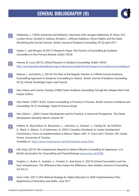### GENERAL BIBLIOGRAPHY (H)



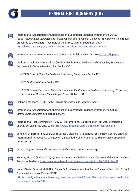

# GENERAL BIBLIOGRAPHY (I-K)

 $\blacksquare$ 

International Association for Educational and Vocational Guidance Practitioners IAEVG (2003) *International Competencies for Educational and Vocational Guidance Practitioners*, Final report presented to the General Assembly of the IAEVG, Madrid, September 2003 http://iaevg.net/iaevg.org/IAEVG/nav0f9a.html?lang=2&menu=1&submenu=5

International Centre for Career Development and Public Policy, ICCDPP http://iccdpp.org  $\Box$ 

- Institute of Guidance Counsellors (2008) *A Whole School Guidance and Counselling Service and*   $\bigoplus$ *Curriculum: Roles and Relationships.* Dublin: IGC.
	- (2009) *Code of Ethics for Guidance Counselling Supervisors* Dublin: IGC
	- (2012) *Code of Ethics* Dublin: IGC
	- (2013) *Current Trends and Future Directions for the Practice of Guidance Counselling Vision for the Future of Guidance Counselling in Ireland* Dublin: IGC
- Inskipp, Francesca. (1996) *Skills Training for Counselling* London: Cassell.  $\blacksquare$
- International Association for Educational and Vocational Guidance Practitioners, (2003).  $\bigcirc$ *International Competencies.* Canada: IAEVG.
- International Test Commission ITC (2001) International Guidelines for Test Use, *International*   $\blacksquare$ *Journal of Testing,* 1(2), pp. 93-94 http://www.intestcom.org/Guidelines/Test+Use.php
- Jensche, Dr Bernhard. (2003/2004) Career Guidance Challenges for the New Century under an  $\blacksquare$ International Perspective. Orientecion y Sociedad, Vol 4. / *Journal of Employment Counseling.*  June, Vol.38
- $\bigcirc$ Jung, C.G. (1963) *Memories, Dreams and Reflections'* London: Routledge
- Kearney, Ursula. (8 May 2015). *Quality Assurance and Self-Evaluation: The Voice of the Adult.* National  $\bigoplus$ Forum on Guidance http://www.ncge.ie/uploads/Voice\_of\_the\_Adult\_NFG\_2015\_UK.pdf
- Korkut-Owen, Fidan et al. (2015). *Career Sailboat Model as a Tool for the Guidance Counsellor* School  $\blacksquare$ Guidance Handbook, Dublin: NCGE. http://schoolguidancehandbook.ncge.ie/document-detail/Career-Sailboat-Model-as-a-tool-for-the-Guidance-Counsellor/50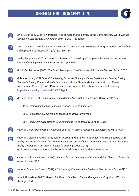#### GENERAL BIBLIOGRAPHY (L-N)



Laws, Bill et al. (2002) New Perspectives on Career and Identity in the Contemporary World., *British*   $\bigoplus$ *Journal of Guidance and Counselling*, 30 (4) BJGC: Routledge Lees, John. (2001) Reflexive Action Research: Developing Knowledge Through Practice. *Counselling*   $\blacksquare$ *and Psychotherapy Research* 1 (2), 132-139 (134) Lewis, Jacqueline. (2001) Career and Personal Counseling – Comparing Process and Outcome  $\bigoplus$ *Journal of Employment Counseling*, Vol. 38, pp. 82-90  $\bigoplus$ Mc McCarthy, John. (2001) *The Skills, Training and Qualifications of Guidance Workers.* Paris: OECD. McMahon, Mary. (1997) for CICA, *Moving Forward - Shaping a Career Development Culture; Quality*   $\bigoplus$ *Standards, Quality Practice, Quality Outcomes,* National Standards & Accreditation of Career Practitioners Project (NSACPP) Australia, Department of Education, Science and Training http://files.eric.ed.gov/fulltext/ED536208.pdf Mc Leod, John. (1993) *An Introduction to Counselling* Buckingham: Open University Press.  $\bigoplus$ - (1994) Doing *Counselling Research* London: Sage Publications. - (2007) *Counselling Skills* Maidenhead: Open University Press. - (2011) *Qualitative Research in Counselling and Psychotherapy* London: Sage  $\bigcirc$ National Career Development Association (1997) *Career Counselling Competencies*, USA: NCDA National Guidance Forum for Education, Career and Employment, Universitat Heidelberg (2012)  $\bigcirc$ *Quality and Professionalism in Career Guidance and Counselling - The Open Process of Coordination for Quality Development in Career Guidance in Germany* (2009-2012) Berlin/Heidelberg: Sponsored by the Federal Ministry of Education and Research.  $\Box$ National Guidance Forum (2007) *Guidance for Life: An Integrated Framework for Lifelong Guidance in Ireland.* Dublin: NGF National Guidance Forum (2007) *A Competency Framework for Guidance Practitioners* Dublin: NGF  $\bigoplus$ Neault, Roberta A. (2002) *Beyond the Basics: Real World Career Management.* Coquitlam, BC: Life  $\bigoplus$ Strategies Ltd.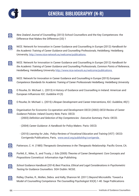

# GENERAL BIBLIOGRAPHY (N-R)

*New Zealand Journal of Counselling,* (2013) School Counsellors and the Key Competences: the  $\bigcirc$ Difference that Makes the Difference (33) 1 NICE: Network for Innovation in Career Guidance and Counselling in Europe (2012) *Handbook for*   $\bigcirc$ *the Academic Training of Career Guidance and Counselling Professionals,* Heidelberg*:* Heidelberg University. http://www.nice-network.eu/welcome/publications NICE: Network for Innovation in Career Guidance and Counselling in Europe (2012) *Handbook for*   $\bigcirc$ *the Academic Training of Career Guidance and Counselling Professionals, Common Points of Reference,*  Heidelberg*:* Heidelberg University http://www.nice-network.eu/welcome/publications NICE: Network for Innovation in Career Guidance and Counselling in Europe (2015) *European*   $\bigcirc$ *Competence Standards for Academic Training of Career Professionals* Heidelberg: Heidelberg University O Rourke, Dr. Michael. L. (2013) A History of Guidance and Counselling in Ireland: American and  $|\circledast|$ European Influences IGC: *Guideline* 41(3)  $\bigcirc$ O Rourke, Dr. Michael. L. (2015) Lifespan Development and Career Interventions, IGC: *Guideline*, 45(1) Organisation for Economic Co-operation and Development OECD (2002) *OECD Review of Career*   $\bigoplus$ *Guidance Policies: Ireland Country Note,* Paris: OECD. - (2003) *Definition and Selection of Key Competencies: Executive Summary.* Paris: OECD. - (2004) *Career Guidance: A Handbook for Policy Makers.* Paris: OECD. - (2010) *Learning for Jobs*, *Policy Reviews of Vocational Education and Training* (VET) OECD: Corrigenda Publications, Paris, www.oecd.org/publishihg/corrigenda ⊕ Patterson, C. H. (1985) *Therapeutic Genuineness in the Therapeutic Relationship.* Pacific Grove, CA. Porfeli, E., Niles, S., and Trusty, J. Eds (2005) *Theories of Career Development: Core Concepts and*   $\circledR$ *Propositions* Conneticut: Information Age Publishing *School Guidance Handbook* (2014) *Best Practice, Ethical and Legal Considerations in Psychometric*  |∰∏ *Testing for Guidance Counsellors.* SGH Dublin: NCGE. Ridley, Charles, R., Mollen, Debra. and Kelly, Shannon M. (2011) Beyond Microskills: Toward a  $\bigcirc$ Model of Counselling Competence *The Counselling Psychologist* XX(X).1-40. Sage Publications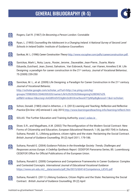#### GENERAL BIBLIOGRAPHY (R-S)



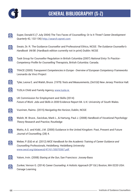

# GENERAL BIBLIOGRAPHY (S-Z)

Super, Donald E.(7 July 2004) The Two Faces of Counselling: Or Is It Three? *Career Development*   $\blacksquare$ *Quarterly* 42, 132-136) http://search.epnet.com Swain, Dr. R. The Guidance Counsellor and Professional Ethics, NCGE: *The Guidance Counsellor's*   $\blacksquare$ *Handbook 04/08.* (Hardback edition currently not in print) Dublin: NCGE  $\Box$ Task Group for Counsellor Regulation in British Columbia (2007) *National Entry To Practice - Competency Profile for Counselling* Therapists, British Columbia: Canada.  $\bigcirc$ TRACE (2005) *Transparent Competencies in Europe - Overview of European Competency Frameworks* Leonardo da Vinci Project  $\blacksquare$ Tyler, Leona E. and Walsh, Bruce. (1979) *Tests and Measurements*, (3rd Ed) New Jersey: Prentice Hall.  $\Box$ TUSLA Child and Family Agency, www.tusla.ie UK Commission for Employment and Skills (2014)  $\bigcirc$ *Future of Work: Jobs and Skills in 2030* Evidence Report 84. U.K: University of South Wales.  $\blacksquare$ Vuorinen, Raimo. (2015) *Navigating the Horizon,* Dublin, NCGE Walsh, W. Bruce., Savickas, Mark L., & Hartung, Paul J. (2008) *Handbook of Vocational Psychology:*   $\bigoplus$ *Theory Research and Practice*, Routledge Watts, A.G. and Kidd, J.M. (2000) Guidance in the United Kingdom: Past, Present and Future  $\blacksquare$ *Journal of Counselling,* (28) 4. Weber, P. (Ed) et al. (2012) *NICE Handbook for the Academic Training of Career Guidance and*   $\blacksquare$ *Counselling Professionals*, Heidelberg: Heidelberg University www.oecd.org/dataoecd/47/61/35070367.pdf  $\Box$ Yalom, Irvin. (2008) *Staring at the Sun*, San Francisco: Jossey-Bass Zunker, Vernon G. (2014) *Career Counseling: A Holistic Approach* (9th Ed.) Boston, MA 0220 USA:  $\bigoplus$ Cenage Learning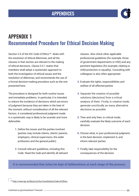

# APPENDIX 1 Recommended Procedure for Ethical Decision Making

Section 3.5 of the IGC *Code of Ethics*108 deals with the resolution of ethical dilemmas, and all the clauses in that section are relevant to the making of ethical decisions. Clause 3.5.1 states that members shall adopt a systematic approach to both the investigation of ethical issues and the resolution of dilemmas, and recommends the use of a formal decision-making procedure such as the one presented here.

The procedure is designed for both routine issues and immediate problems. In particular, it is intended to reduce the incidence of decisions which are errors of judgment because they are taken in the heat of the moment, without consideration of all the relevant factors. A considered professional judgment made in a systematic way is likely to be sounder and more defensible:

- **1.** Define the issues and the parties involved (parties may include clients, clients' parents, employers, clinical supervisors, the wider profession and the general public)
- **2.** Consult relevant guidelines, including this Code. Read the *Code* and identify all relevant

clauses. Also check other applicable professional guidelines (for example, those of government departments or HSE) and any pertinent legislation (for example, relating to child protection or equality). Consulting with colleagues is also often appropriate

- **3.** Evaluate the rights, responsibilities and welfare of all affected parties
- **4.** Separate the creation of possible solutions (decisions) from a critical analysis of them. Firstly, in creative mode, generate uncritically as many alternative decisions as possible
- **5.** Then and only then, in critical mode, carefully evaluate the likely outcome of each decision
- **6.** Choose what, in your professional judgment, is the best decision, implement it, and inform relevant parties
- **7.** Finally, take responsibility for the consequences of the decision

#### **It is recommended that notes be kept of deliberations at each stage of the process.**

<sup>108</sup> http://www.igc.ie/About-Us/Our-Constitution/Code-of-Ethics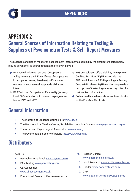

# APPENDIX 2 General Sources of Information Relating to Testing & Suppliers of Psychometric Tests & Self-Report Measures

The purchase and use of most of the assessment instruments supplied by the distributers listed below require psychometric accreditation at the following levels:

• BPS accreditation as Test User: Occupational, Ability (formerly the BPS certificate of competence in occupation testing, Level A) Qualification to use instruments assessing aptitude, ability and interest

- BPS Test User: Occupational, Personality (formerly Level B) Qualification with conversion programme to use 16PF and MBTI.
- BPS accreditation offers eligibility to Registered Qualified Test User (RQTU) status with the BPS. In addition, the BPS Psychological Testing Centre (PTC) allows RQTU members to provide a description of the testing services they offer, plus their contact information.
- Both accreditation levels above entitle application for the Euro-Test Certificate

# General information

- **1.** The Institute of Guidance Counsellors www.igc.ie
- **2.** The Psychological Testing Centre / British Psychological Society www.psychtesting.org.uk
- **3.** The American Psychological Association www.apa.org.
- **4.** The Psychological Society of Ireland http://www.psihq.ie/

# **Distributers**

#### ABILITY

- **5.** Psytech International www.psytech.co.uk
- **6.** PAN Testing www.pantesting.com
- **7.** GL Assessment www.gl-assessment.co.uk
- **8.** Educational Research Centre www.erc.ie
- **9.** Pearson Clinical www.pearsonclinical.co.uk
- **10.** Lucid Research www.lucid-research.com
- **11.** Hodder www.hodderstests.com
- **12.** OPP www.opp.com/en/tools/ABLE-Series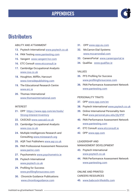#### APPENDICES



### **Distributers**

#### ABILITY AND ATTAINMENT

- **13.** Psytech International www.psytech.co.uk
- **14.** PAN Testing www.pantesting.com
- **15.** Vangent www.vangent.hcr.com
- **16.** ETC Consult www.etcconsult.ie
- **17.** Cambridge Occupational Analysts www.coa.co.uk
- **18.** Houghton, Mifflin, Harcourt www.riversidepublishing.com
- **19.** The Educational Research Centre www.erc.ie
- **20.** Thomas International www.thomasinternational.com

#### INTEREST

- **21.** OPP https://www.opp.com/en/tools/ Strong-Interest-Inventory
- **22.** CASCAiD www.cascaid.co.uk
- **23.** Cambridge Occupational Analysts www.coa.co.uk
- **24.** Multiple Intelligences Research and Consulting www.miresearch.org
- **25.** AQR Test Publishers www.aqr.co.uk
- **26.** PAR Professional Assessment Resources www.parinc.com
- **27.** Psychometrix www.psychometrix.ie
- **28.** Psytech International www.psytech.co.uk
- **29.** Profiling for Success www.profilingforsuccess.com
- **30.** Chronicle Guidance Publications www.chronilceguidance.com
- **31.** OPP www.opp.eu.com
- **32.** McCarron-Dial Systems www.mccarrondial.com
- **33.** CareersPortal www.careersportal.ie
- **34.** Qualifax www.qualifax.ie

#### VALUES

- **35.** PFS Profiling for Success www.profilingforsuccess.com
- **36.** PAN Performance Assessment Network www.pantesting.com

#### PERSONALITY TRAITS

- **37.** OPP www.opp.com/en
- **38.** Psytech International www.psytech.co.uk
- **39.** Online International Personality Item Pool www.personal.psu.edu/j5j/IPIP
- **40.** PAN Performance Assessment Network www.pantesting.com
- **41. ETC Consult www.etcconsult.ie**
- **42.** OPP www.opp.com

#### LEADERSHIP AND

#### MANAGEMENT DEVELOPMENT

- **43.** Psytech International www.psytech.co.uk
- **44.** PAN Performance Assessment Network www.pantesting.com

ONLINE AND PRINTED CAREERS RESOURCES

**45.** www.babcock-lifeskills.com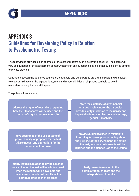



# APPENDIX 3 Guidelines for Developing Policy in Relation to Psychometric Testing

The following is provided as an example of the sort of matters such a policy might cover. The details will vary as a function of the assessment context, whether in an educational setting, other public service setting or private practice.

Contracts between the guidance counsellor, test takers and other parties are often implicit and unspoken. However, making clear the expectations, roles and responsibilities of all parties can help to avoid misunderstanding, harm and litigation.

The policy will endeavor to

**address the rights of test takers regarding how their test scores will be used and the test user's right to access to results**

**state the existence of any financial charges if relevant for the particular provide clarity in relation to inclusivity and impartiality in relation factors such as age, gender & disability**

**give assurance of the use of tests of proven quality, appropriate for the test taker's needs, and appropriate for the assessment purpose**

**provide guidelines used in relation to informing test user prior to testing about the purpose of the assessment, the nature of the test, to whom tests results will be reported and the planned use of the results**

**clarify issues in relation to giving advance notice of when the test will be administered, when the results will be available and the manner in which test results will be communicated to the test taker**

**clarify issues in relation to the administration of tests and the interpretation of results**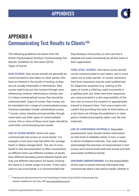

## APPENDIX 4 **Communicating Test Results to Clients<sup>109</sup>**

The following guidelines are drawn from the British Psychological Society's *Communicating Test Results: Guidelines for Test Users* (2016) Types of Scores

**RAW SCORES:** Raw scores should not generally be communicated to test takers or other parties who have an interest in the results of testing, as they are not usually meaningful in themselves. Raw scores need to be put into context through norm referencing, criterion referencing or similar, and it is these contextualised scores that should be communicated. Types of scores: Raw scores can be translated into a range of contextualised scores. Common examples include standardised scores, T scores, stens, stanines and percentiles, though some tests use other types of contextualised scores. One or more of these score types should be used when communicating test results.

**USE OF SCORE BANDS:** Some test users communicate test scores as 'score bands'. For example, a test score may fall within the 'average band' or 'below average band'. The use of score bands in test documentation is often inconsistent, as different tests use different numbers of bands, have different boundary points between bands and may use different descriptors for bands covering the same or a similar range of scores. If test users want to use score bands, it is recommended that

they develop a local policy on test use that is adopted and used consistently by all test users in their organisation.

**ITEM-LEVEL SCORES:** Item-level scores should not be communicated to test takers, and in most cases not to other parties. In certain situations item-level responses may be used qualitatively for diagnostic purposes (e.g. looking at the types of words a child has spelt incorrectly in a spelling test), but when item-level responses are communicated it is the responsibility of the test user to ensure the recipient is appropriately trained to interpret them. Test users need to be careful that providing this level of information on a test does not infringe the publisher's or other party's intellectual property rights over the test materials.

**USE OF CONFIDENCE INTERVALS:** Reputable psychometric tests should contain information on their level of reliability which, in turn, is used to derive confidence intervals. Test users should acknowledge the precision of measurement in test scores and communicate both test scores and their associated confidence bands.

**ENSURING UNDERSTANDING:** It is the responsibility of test users to ensure that any information they communicate about a test and its results, whether in

<sup>109</sup> Reproduced with permission from the Psychological Testing Centre (2016) *Communicating Test Results: Guidelines for Test Users,* BPS www.psychtesting.org.uk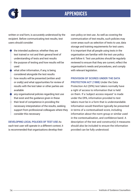### APPENDICES

written or oral form, is accurately understood by the recipient. Before communicating test results, test users should consider:

the intended audience; whether they are test trained or not and their general level of understanding of tests and test results  $\bullet$  the purpose of testing and how results will be

used

- what other information, if any, is being considered alongside the test results • how results will be presented (written and/ or orally) and what opportunities for review of results with the test taker or other parties are available
- any organisational policies regarding test use that exist and the guidance given in these  $\bullet$  their level of competence in providing the necessary interpretation of the results, seeking support from professional colleagues where they consider this necessary

**DEVELOPING LOCAL POLICIES OF TEST USE** As each test user will operate in a different context, it is recommended that organisations develop their

own policy on test use. As well as covering the communication of test results, such policies may cover areas such as selection of tests to use, data storage and training requirements for test users. It is important that all people using tests in the organisation are familiar with the test use policy and follow it. Test use policies should be regularly reviewed to ensure that they are current, reflect the organisation's needs and procedures, and comply with relevant legislation.

**PROVISION OF SCORES UNDER THE DATA PROTECTION ACT (1988)** Under the Data Protection Act (DPA) test takers normally have a right of access to information that is held on them. If a 'subject access request' is made under the DPA, information provided to test takers must be in a form that is understandable. Information would therefore typically be presented in terms of a contextualised score, including information about the norm group or similar used in the contextualisation, and confidence band. A description of the test and construct(s) it measures should also be included to ensure the information provided can be fully understood.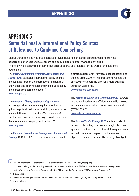

## APPENDIX 5 Some National & International Policy Sources of Relevance to Guidance Counselling

Global, European, and national agencies provide guidance on career programmes and training opportunities for career development and acquisition of career management skills. The following is a sample of some that offer supports and insights for the work of the guidance counsellor:

The *International Centre for Career Development and Public Policy* facilitates international policy sharing and learning through the international exchange of knowledge and information concerning public policy and career development issues.<sup>110</sup> www.iccdpp.org

The *European Lifelong Guidance Policy Network* (ELGPN) provides a reference quide $111$  for lifelong guidance policy in education, training, labour market and social inclusion. This site offers a variety of services and products in a variety of settings across the education and employment sectors.<sup>112</sup> www.elapn.eu

The *European Centre for the Development of Vocational Training* (CEDEFOP) 2016 work programme sets out

a strategic framework for vocational education and training up to 2020.113 This programme reflects the objective to support the plan for a more qualified European workforce. www.cedefop.europa.eu

The *Further Education and Training Authority* (SOLAS) has streamlined a more efficient Irish skills training service under Education Training Boards Ireland (ETBI) 2013.114 www.etbi.ie / www.solas.ie

The *National Skills Strategy 2025* identifies Ireland's current skills profile, provides a strategic vision and specific objectives for our future skills requirements, and sets out a road map on how the vision and objectives can be achieved. The strategy highlights

110 ICCDPP International Cente for Career Development and Public Policy. http://iccdpp.org

<sup>111</sup> European Lifelong Guidance Policy Network (2015) ELGPN Tools No 6. *Guidelines for Policies and Systems Development for Lifelong Guidance.* A Reference Framework for the E.U. and for the Commission (2015) Jyuaskla Finland, p10.

112 Ibid. p. 7. No 6.

113 CEDEFOP The European Centre for the Development of Vocational Training- (2016) Work Programme pp. 10-19.

114 etbi.ie solas.ie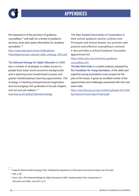

### APPENDICES

the importance of the provision of guidance counselling115 and calls for a review of guidance services, tools and career information for students and adults.<sup>116</sup>

http://www.education.ie/en/Publications/ PolicyReports/pub\_national\_skills\_strategy\_2025.pdf

The *National Strategy for Higher Education* to 2030 has a number of strategies to widen access to people from lower socio-economic backgrounds and is planning more broad based courses and greater interdisciplinary learning opportunities. The strategy is fostering entrepreneurial imagination and encouraging Irish graduates to be job shapers and not just job seekers.<sup>117</sup>

www.hea.ie/en/policy/national-strategy

The *New Zealand Association of Counsellors* in their school guidance section outlines how Principals and School boards can promote safe practice and effective counselling in schools. It also provides a School Guidance Counsellor appointment kit.

http://www.nzac.org.nz/school\_guidance counsellors.cfm

*The New Work Order* is a useful analysis, prepared by the *Foundation for Young Australians,* of the skills and expertise young Australians must acquire for the jobs of the future. It gives an excellent review of the opportunities and challenges presented with this new work order.

http://www.fya.org.au/wp-content/uploads/2015/08/ fya-future-of-work-report-final-lr.pdf

115 Ireland's National Skills Strategy 2025- Published by Department of Education and Science Ireland Jan 2016 p97.

116 Ibid. p. 80.

117 Hunt, Colin. DES *National Strategy for Higher Education to 2030* Implementation Plan Department of Education and Skills, June 2011 p.37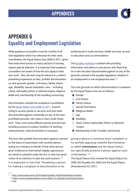

# APPENDIX 6 Equality and Employment Legislation

While guidance counsellors must be mindful of all Irish legislation which has relevance for their work, nevertheless, the Equal Status Acts 2000 to 2011, given their wide remit across so many sections of society, require special attention. It is important that guidance counsellors are aware of how the acts apply to their own work. Also, the Acts may be relevant to a client's presenting experience as they prohibit discrimination on nine grounds: gender; civil status; family status; age; disability; sexual orientation; race  $-$  including colour, nationality, ethnic or national origins; religious belief and, membership of the travelling community.

Discrimination outside the workplace is prohibited by the Equal Status Acts 2000 to 2011. Anyone trying to access goods or services and who feels discriminated against unlawfully, on any of the nine prohibited grounds, can make a claim under these Acts. They cover many different goods and services, including access to a place, facilities for banking, entertainment, cultural activities or transport,

The Acts also prohibit discrimination against a person on the basis of association with another person, acting as a witness on behalf of that other person, given evidence on their behalf, legally opposing an act which is unlawful under the Act, or who has given notice of an intention to take any such actions.<sup>119</sup> It is important to note that, 'Penalising a person for making a complaint of discrimination or for

professional or trade services, health services, access to education and accommodation.

The Equality Authority is tasked with providing information and advice to any person who feels that he or she has been discriminated against on any of the grounds covered in the equality legislation, whether in an employment or non-employment area.<sup>118</sup>

The nine grounds on which discrimination is outlawed by the Equal Status Acts are as follows:

• Gender • Civil Status **Family Status Sexual Orientation** • Religious Belief • Age **Disability** • Race, Colour, Nationality, Ethnic or National **Origins** • Membership of the Traveller Community

giving evidence in someone else's complaint or for lawfully opposing unlawful discrimination is called **victimisation** and the Equal Status Act specifically protects a person against such victimisation'.120

The Equal Status Acts include the Equal Status Act, 2000, the Equality Act, 2004 and the Equal Status (Amendment) Act 2012.

<sup>118</sup>http://www.justice.ie/en/JELR/Pages/Equality\_FAQ#UnlawfulDiscrimination

<sup>119</sup> https://www.workplacerelations.ie/en/What\_You\_Should\_Know/Equal\_Status/ 120 Ibid.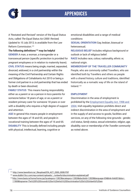

## APPENDICES

A 'Restated and Revised' version of the Equal Status Acts, called *The Equal Status Act 2000: Revised, Updated to 10 July 2013,* is available from the Law Reform Commission.121

### **The following definitions122 may be helpful**

**GENDER** A man, a woman, a transgender or a transsexual person (specific protection is provided for pregnant employees or in relation to maternity leave). **CIVIL STATUS** means being single, married, separated, divorced, widowed, in a civil partnership within the meaning of the Civil Partnership and Certain Rights and Obligations of Cohabitants Act 2010 or being a former civil partner in a civil partnership that has ended by death or been dissolved;

**FAMILY STATUS** This means having responsibility either as a parent or as a person in loco parentis for someone below 18 years of age, or as a parent or resident primary carer for someone 18 years or over with a disability who requires a high degree of support and attention.

**AGE** In general this means people in employment between the ages of 18 and 65; and people in vocational training between the ages of 16 and 65. **DISABILITY** This is broadly defined including people with physical, intellectual, learning, cognitive or

emotional disabilities and a range of medical conditions

**SEXUAL ORIENTATION** Gay, lesbian, bisexual or heterosexual;

**RELIGIOUS BELIEF** Includes religious background or outlook or lack of religious belief.

**RACE** Includes race, colour, nationality, ethnic or, national origin.

### **MEMBERSHIP OF THE TRAVELLER COMMUNITY**

People, who are commonly called Travellers, who are identified both by Travellers and others as people with a shared history, culture and traditions, identified historically as a nomadic way of life on the island of Ireland.123

### **EMPLOYMENT**

Discrimination in the area of employment is prohibited by the Employment Equality Act, 1998 and 2004. Irish equality legislation prohibits direct and indirect discrimination in the area of employment and in the supply of and access to goods, facilities and services, on any of the following nine grounds - *gender, civil status, family status, sexual orientation, religion, age, disability, race or membership of the Traveller community*  as noted above.

<sup>121</sup> http://www.lawreform.ie/\_fileupload/EN\_ACT\_2000\_0008.PDF

122 www.dublin15cc.com/wp-content/uploads/.../unlawful-discrimination-explained.pdf

<sup>123</sup>http://www.basis.ie/home/home.jsp?pcategory=12823&ecategory=12826&doclistid=12828&language=EN&link=link001&doc= 11969&logname=The%209%20Grounds%20on%20which%20Discrimination%20is%20Unlawful%20are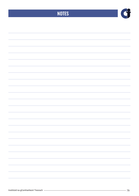## **NOTES**

Cf